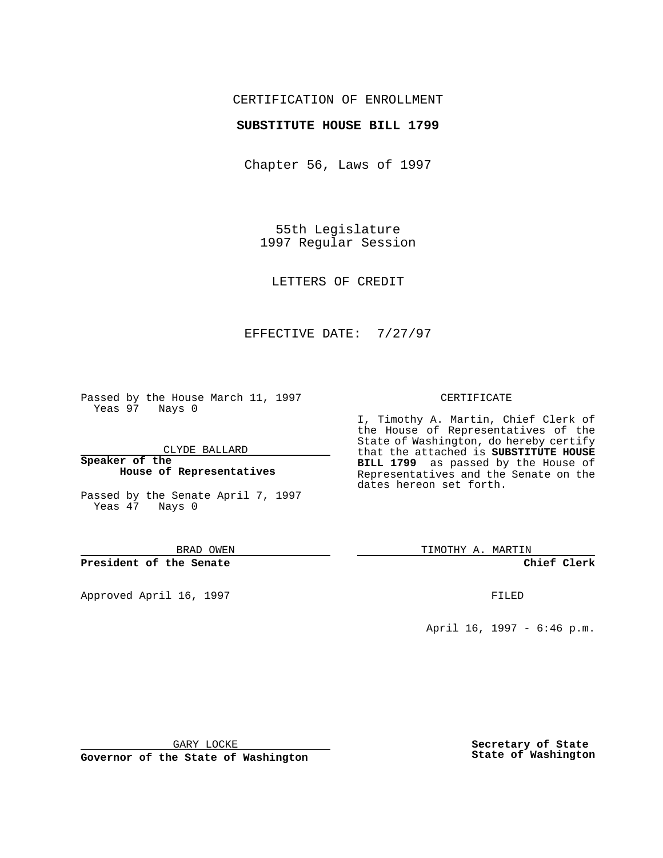## CERTIFICATION OF ENROLLMENT

### **SUBSTITUTE HOUSE BILL 1799**

Chapter 56, Laws of 1997

55th Legislature 1997 Regular Session

LETTERS OF CREDIT

## EFFECTIVE DATE: 7/27/97

Passed by the House March 11, 1997 Yeas 97 Nays 0

CLYDE BALLARD

**Speaker of the House of Representatives**

Passed by the Senate April 7, 1997 Yeas 47 Nays 0

BRAD OWEN

**President of the Senate**

Approved April 16, 1997 **FILED** 

#### CERTIFICATE

I, Timothy A. Martin, Chief Clerk of the House of Representatives of the State of Washington, do hereby certify that the attached is **SUBSTITUTE HOUSE BILL 1799** as passed by the House of Representatives and the Senate on the dates hereon set forth.

TIMOTHY A. MARTIN

**Chief Clerk**

April 16, 1997 - 6:46 p.m.

GARY LOCKE

**Governor of the State of Washington**

**Secretary of State State of Washington**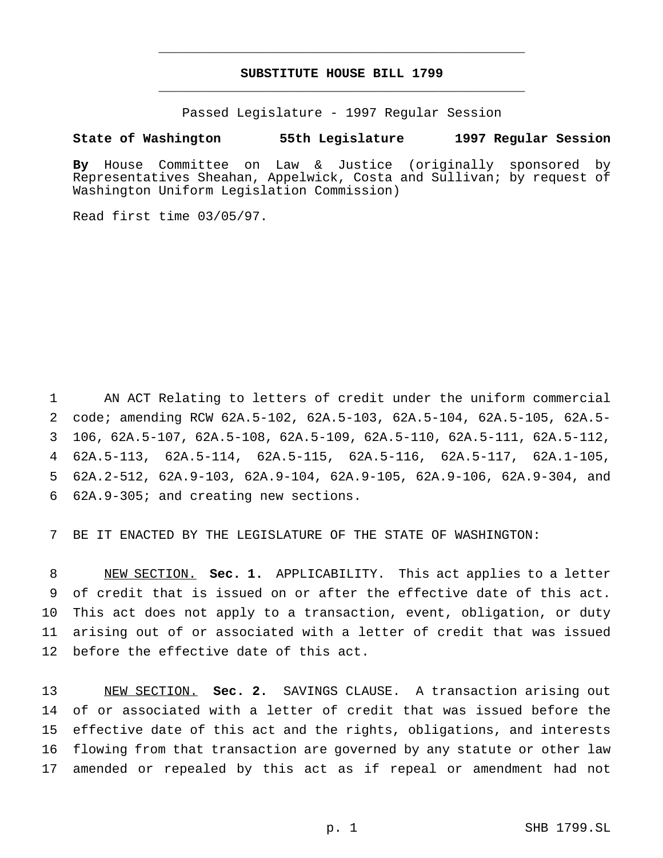## **SUBSTITUTE HOUSE BILL 1799** \_\_\_\_\_\_\_\_\_\_\_\_\_\_\_\_\_\_\_\_\_\_\_\_\_\_\_\_\_\_\_\_\_\_\_\_\_\_\_\_\_\_\_\_\_\_\_

\_\_\_\_\_\_\_\_\_\_\_\_\_\_\_\_\_\_\_\_\_\_\_\_\_\_\_\_\_\_\_\_\_\_\_\_\_\_\_\_\_\_\_\_\_\_\_

Passed Legislature - 1997 Regular Session

#### **State of Washington 55th Legislature 1997 Regular Session**

**By** House Committee on Law & Justice (originally sponsored by Representatives Sheahan, Appelwick, Costa and Sullivan; by request of Washington Uniform Legislation Commission)

Read first time 03/05/97.

 AN ACT Relating to letters of credit under the uniform commercial code; amending RCW 62A.5-102, 62A.5-103, 62A.5-104, 62A.5-105, 62A.5- 106, 62A.5-107, 62A.5-108, 62A.5-109, 62A.5-110, 62A.5-111, 62A.5-112, 62A.5-113, 62A.5-114, 62A.5-115, 62A.5-116, 62A.5-117, 62A.1-105, 62A.2-512, 62A.9-103, 62A.9-104, 62A.9-105, 62A.9-106, 62A.9-304, and 62A.9-305; and creating new sections.

BE IT ENACTED BY THE LEGISLATURE OF THE STATE OF WASHINGTON:

 NEW SECTION. **Sec. 1.** APPLICABILITY. This act applies to a letter of credit that is issued on or after the effective date of this act. This act does not apply to a transaction, event, obligation, or duty arising out of or associated with a letter of credit that was issued before the effective date of this act.

 NEW SECTION. **Sec. 2.** SAVINGS CLAUSE. A transaction arising out of or associated with a letter of credit that was issued before the effective date of this act and the rights, obligations, and interests flowing from that transaction are governed by any statute or other law amended or repealed by this act as if repeal or amendment had not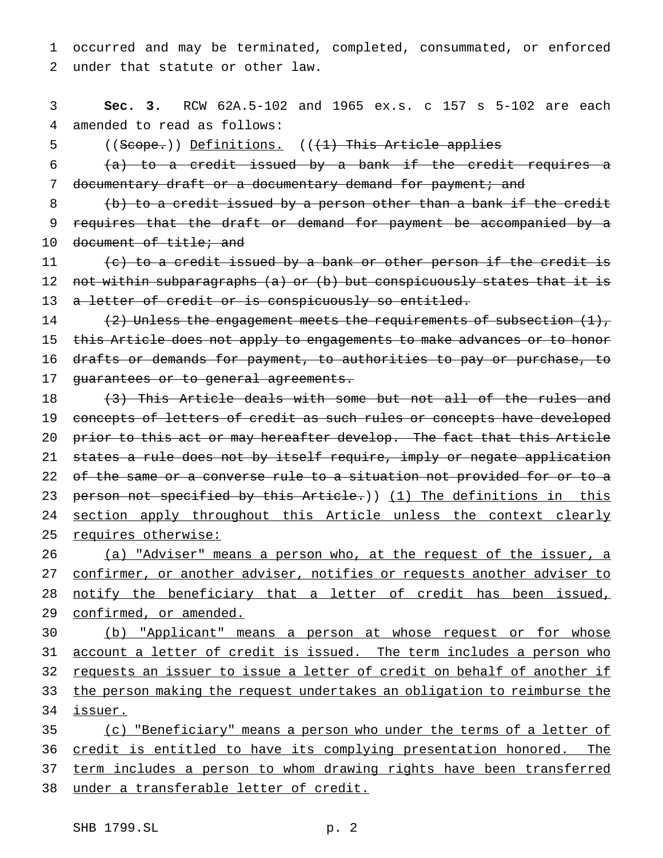1 occurred and may be terminated, completed, consummated, or enforced 2 under that statute or other law.

3 **Sec. 3.** RCW 62A.5-102 and 1965 ex.s. c 157 s 5-102 are each 4 amended to read as follows:

5 ((Scope.)) Definitions. (( $\{1\}$  This Article applies

6  $(a)$  to a credit issued by a bank if the credit requires a 7 documentary draft or a documentary demand for payment; and

8 (b) to a credit issued by a person other than a bank if the credit 9 requires that the draft or demand for payment be accompanied by a 10 document of title; and

11 (c) to a credit issued by a bank or other person if the credit is 12 not within subparagraphs (a) or (b) but conspicuously states that it is 13 a letter of credit or is conspicuously so entitled.

14 (2) Unless the engagement meets the requirements of subsection (1), 15 this Article does not apply to engagements to make advances or to honor 16 drafts or demands for payment, to authorities to pay or purchase, to 17 guarantees or to general agreements.

18 (3) This Article deals with some but not all of the rules and 19 concepts of letters of credit as such rules or concepts have developed 20 prior to this act or may hereafter develop. The fact that this Article 21 states a rule does not by itself require, imply or negate application 22 of the same or a converse rule to a situation not provided for or to a 23 person not specified by this Article.)) (1) The definitions in this 24 section apply throughout this Article unless the context clearly 25 requires otherwise:

26 (a) "Adviser" means a person who, at the request of the issuer, a 27 confirmer, or another adviser, notifies or requests another adviser to 28 notify the beneficiary that a letter of credit has been issued, 29 confirmed, or amended.

30 (b) "Applicant" means a person at whose request or for whose 31 account a letter of credit is issued. The term includes a person who 32 requests an issuer to issue a letter of credit on behalf of another if 33 the person making the request undertakes an obligation to reimburse the 34 issuer.

 (c) "Beneficiary" means a person who under the terms of a letter of 36 credit is entitled to have its complying presentation honored. The term includes a person to whom drawing rights have been transferred under a transferable letter of credit.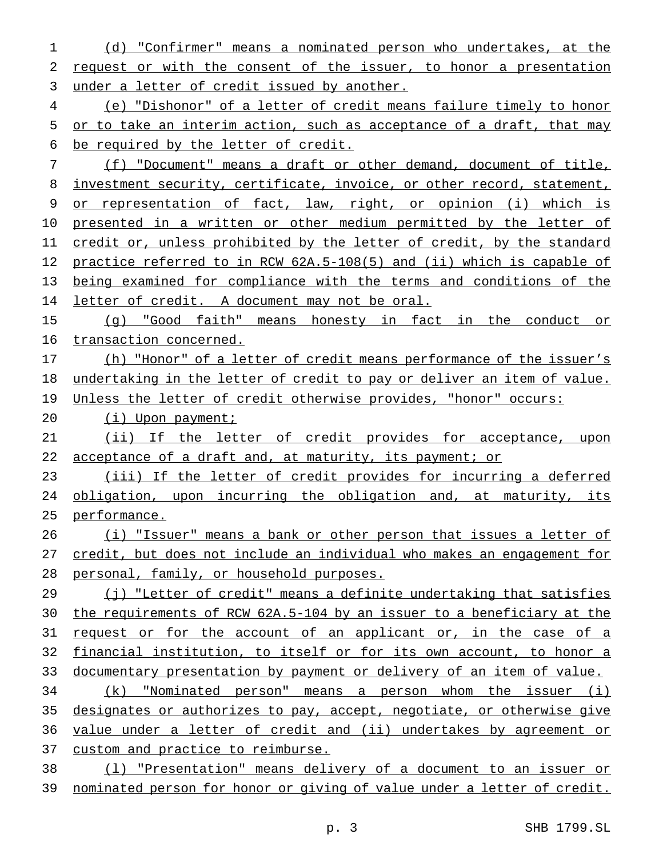(d) "Confirmer" means a nominated person who undertakes, at the request or with the consent of the issuer, to honor a presentation under a letter of credit issued by another.

 (e) "Dishonor" of a letter of credit means failure timely to honor or to take an interim action, such as acceptance of a draft, that may be required by the letter of credit.

 (f) "Document" means a draft or other demand, document of title, investment security, certificate, invoice, or other record, statement, or representation of fact, law, right, or opinion (i) which is presented in a written or other medium permitted by the letter of credit or, unless prohibited by the letter of credit, by the standard practice referred to in RCW 62A.5-108(5) and (ii) which is capable of being examined for compliance with the terms and conditions of the 14 letter of credit. A document may not be oral.

 (g) "Good faith" means honesty in fact in the conduct or 16 transaction concerned.

 (h) "Honor" of a letter of credit means performance of the issuer's undertaking in the letter of credit to pay or deliver an item of value. 19 Unless the letter of credit otherwise provides, "honor" occurs:

20 (i) Upon payment;

 (ii) If the letter of credit provides for acceptance, upon 22 acceptance of a draft and, at maturity, its payment; or

 (iii) If the letter of credit provides for incurring a deferred obligation, upon incurring the obligation and, at maturity, its performance.

 (i) "Issuer" means a bank or other person that issues a letter of credit, but does not include an individual who makes an engagement for personal, family, or household purposes.

 (j) "Letter of credit" means a definite undertaking that satisfies the requirements of RCW 62A.5-104 by an issuer to a beneficiary at the request or for the account of an applicant or, in the case of a financial institution, to itself or for its own account, to honor a 33 documentary presentation by payment or delivery of an item of value.

 (k) "Nominated person" means a person whom the issuer (i) designates or authorizes to pay, accept, negotiate, or otherwise give value under a letter of credit and (ii) undertakes by agreement or custom and practice to reimburse.

 (l) "Presentation" means delivery of a document to an issuer or nominated person for honor or giving of value under a letter of credit.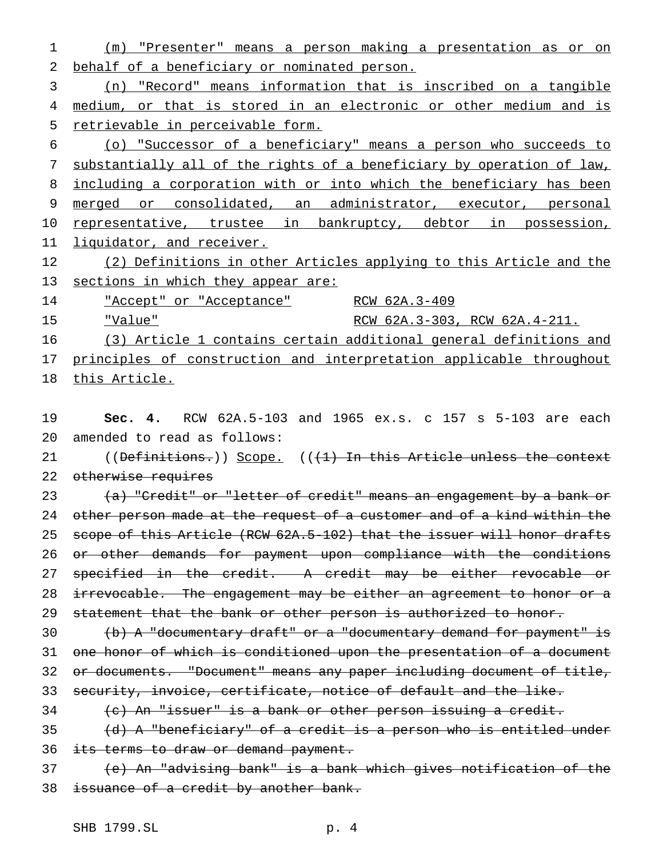1 (m) "Presenter" means a person making a presentation as or on 2 behalf of a beneficiary or nominated person. 3 (n) "Record" means information that is inscribed on a tangible

4 medium, or that is stored in an electronic or other medium and is 5 retrievable in perceivable form.

6 (o) "Successor of a beneficiary" means a person who succeeds to 7 substantially all of the rights of a beneficiary by operation of law, 8 including a corporation with or into which the beneficiary has been 9 merged or consolidated, an administrator, executor, personal 10 representative, trustee in bankruptcy, debtor in possession, 11 liquidator, and receiver.

12 (2) Definitions in other Articles applying to this Article and the 13 sections in which they appear are:

14 "Accept" or "Acceptance" RCW 62A.3-409 15 TValue" RCW 62A.3-303, RCW 62A.4-211.

16 (3) Article 1 contains certain additional general definitions and

17 principles of construction and interpretation applicable throughout

18 this Article.

19 **Sec. 4.** RCW 62A.5-103 and 1965 ex.s. c 157 s 5-103 are each 20 amended to read as follows:

21 ((Definitions.)) Scope. (((1) In this Article unless the context 22 otherwise requires

23  $(a)$  "Credit" or "letter of credit" means an engagement by a bank or 24 other person made at the request of a customer and of a kind within the 25 scope of this Article (RCW 62A.5-102) that the issuer will honor drafts 26 or other demands for payment upon compliance with the conditions 27 specified in the credit. A credit may be either revocable or 28 irrevocable. The engagement may be either an agreement to honor or a 29 statement that the bank or other person is authorized to honor.

 $\left(\frac{b}{b}\right)$  A "documentary draft" or a "documentary demand for payment" is 31 one honor of which is conditioned upon the presentation of a document or documents. "Document" means any paper including document of title, security, invoice, certificate, notice of default and the like.

 $34$  (c) An "issuer" is a bank or other person issuing a credit.

35 (d) A "beneficiary" of a credit is a person who is entitled under 36 its terms to draw or demand payment.

37 (e) An "advising bank" is a bank which gives notification of the 38 issuance of a credit by another bank.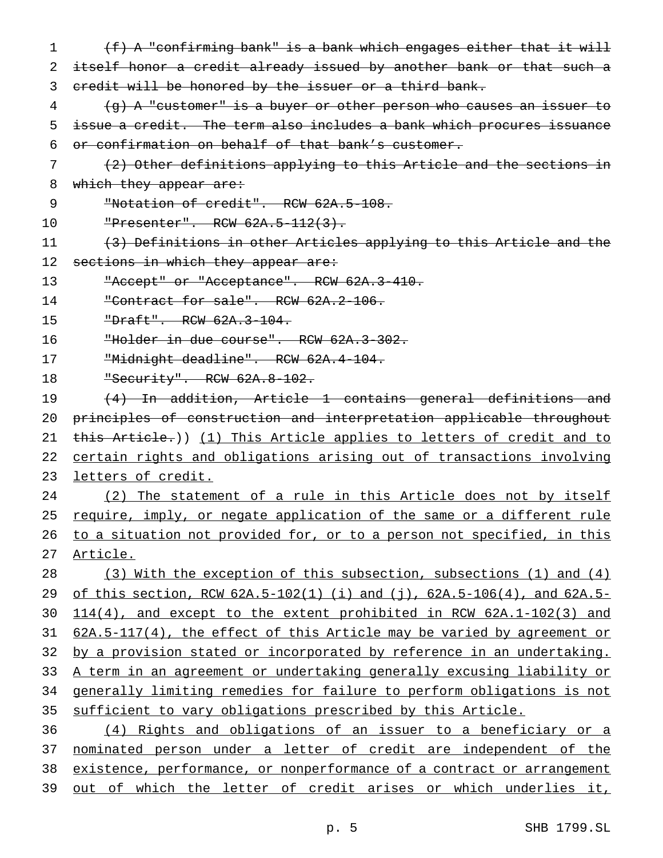(f) A "confirming bank" is a bank which engages either that it will 2 itself honor a credit already issued by another bank or that such a 3 credit will be honored by the issuer or a third bank. (g) A "customer" is a buyer or other person who causes an issuer to issue a credit. The term also includes a bank which procures issuance or confirmation on behalf of that bank's customer. (2) Other definitions applying to this Article and the sections in 8 which they appear are: 9 Wotation of credit". RCW 62A.5-108. **"Presenter". RCW 62A.5-112(3).** 11 (3) Definitions in other Articles applying to this Article and the 12 sections in which they appear are: **"Accept" or "Acceptance".** RCW 62A.3-410. **"Contract for sale". RCW 62A.2-106.**  "Draft". RCW 62A.3-104. 16 FHolder in due course". RCW 62A.3-302. 17 Fanight deadline". RCW 62A.4-104. "Security". RCW 62A.8-102. (4) In addition, Article 1 contains general definitions and principles of construction and interpretation applicable throughout 21 this Article.)) (1) This Article applies to letters of credit and to certain rights and obligations arising out of transactions involving letters of credit. (2) The statement of a rule in this Article does not by itself 25 require, imply, or negate application of the same or a different rule to a situation not provided for, or to a person not specified, in this Article. (3) With the exception of this subsection, subsections (1) and (4) of this section, RCW 62A.5-102(1) (i) and (j), 62A.5-106(4), and 62A.5- 114(4), and except to the extent prohibited in RCW 62A.1-102(3) and 62A.5-117(4), the effect of this Article may be varied by agreement or 32 by a provision stated or incorporated by reference in an undertaking. A term in an agreement or undertaking generally excusing liability or generally limiting remedies for failure to perform obligations is not sufficient to vary obligations prescribed by this Article. (4) Rights and obligations of an issuer to a beneficiary or a nominated person under a letter of credit are independent of the existence, performance, or nonperformance of a contract or arrangement out of which the letter of credit arises or which underlies it,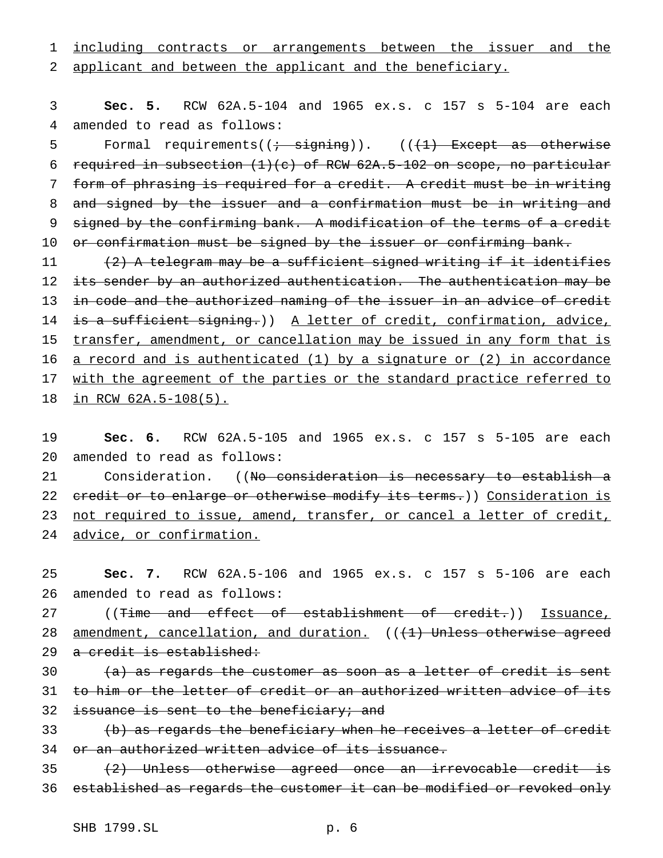1 including contracts or arrangements between the issuer and the

2 applicant and between the applicant and the beneficiary.

3 **Sec. 5.** RCW 62A.5-104 and 1965 ex.s. c 157 s 5-104 are each 4 amended to read as follows:

5 Formal requirements( $(i -$ signing)). ( $(\frac{1}{1})$  Except as otherwise 6 required in subsection (1)(c) of RCW 62A.5-102 on scope, no particular 7 form of phrasing is required for a credit. A credit must be in writing 8 and signed by the issuer and a confirmation must be in writing and 9 signed by the confirming bank. A modification of the terms of a credit 10 or confirmation must be signed by the issuer or confirming bank.

11 (2) A telegram may be a sufficient signed writing if it identifies 12 its sender by an authorized authentication. The authentication may be 13 in code and the authorized naming of the issuer in an advice of credit 14 is a sufficient signing.)) A letter of credit, confirmation, advice, 15 transfer, amendment, or cancellation may be issued in any form that is 16 a record and is authenticated (1) by a signature or (2) in accordance 17 with the agreement of the parties or the standard practice referred to 18 in RCW 62A.5-108(5).

19 **Sec. 6.** RCW 62A.5-105 and 1965 ex.s. c 157 s 5-105 are each 20 amended to read as follows:

21 Consideration. ((No consideration is necessary to establish a 22 credit or to enlarge or otherwise modify its terms.)) Consideration is 23 not required to issue, amend, transfer, or cancel a letter of credit, 24 advice, or confirmation.

25 **Sec. 7.** RCW 62A.5-106 and 1965 ex.s. c 157 s 5-106 are each 26 amended to read as follows:

27 ((Time and effect of establishment of credit.)) Issuance, 28 amendment, cancellation, and duration. (((1) Unless otherwise agreed 29 a credit is established:

30  $(a)$  as regards the customer as soon as a letter of credit is sent 31 to him or the letter of credit or an authorized written advice of its 32 issuance is sent to the beneficiary; and

33 (b) as regards the beneficiary when he receives a letter of credit 34 or an authorized written advice of its issuance.

 $35$   $(2)$  Unless otherwise agreed once an irrevocable credit is 36 established as regards the customer it can be modified or revoked only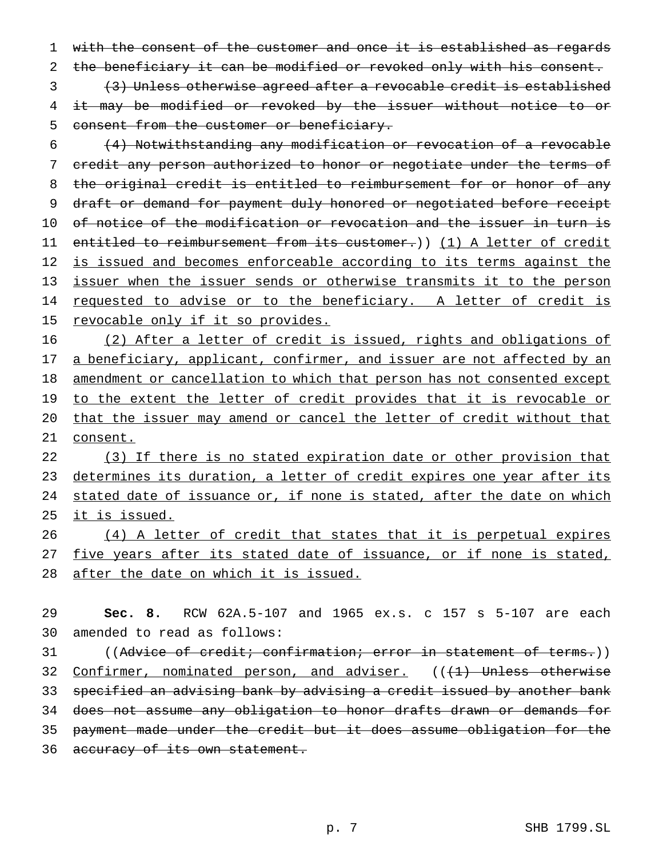1 with the consent of the customer and once it is established as regards

2 the beneficiary it can be modified or revoked only with his consent.

3 (3) Unless otherwise agreed after a revocable credit is established 4 it may be modified or revoked by the issuer without notice to or 5 consent from the customer or beneficiary.

6 (4) Notwithstanding any modification or revocation of a revocable 7 credit any person authorized to honor or negotiate under the terms of 8 the original credit is entitled to reimbursement for or honor of any 9 draft or demand for payment duly honored or negotiated before receipt 10 of notice of the modification or revocation and the issuer in turn is 11 entitled to reimbursement from its customer.)) (1) A letter of credit 12 is issued and becomes enforceable according to its terms against the 13 issuer when the issuer sends or otherwise transmits it to the person 14 requested to advise or to the beneficiary. A letter of credit is 15 revocable only if it so provides.

16 (2) After a letter of credit is issued, rights and obligations of 17 a beneficiary, applicant, confirmer, and issuer are not affected by an 18 amendment or cancellation to which that person has not consented except 19 to the extent the letter of credit provides that it is revocable or 20 that the issuer may amend or cancel the letter of credit without that 21 consent.

22 (3) If there is no stated expiration date or other provision that 23 determines its duration, a letter of credit expires one year after its 24 stated date of issuance or, if none is stated, after the date on which 25 it is issued.

26 (4) A letter of credit that states that it is perpetual expires 27 five years after its stated date of issuance, or if none is stated, 28 after the date on which it is issued.

29 **Sec. 8.** RCW 62A.5-107 and 1965 ex.s. c 157 s 5-107 are each 30 amended to read as follows:

31 ((Advice of credit; confirmation; error in statement of terms.)) 32 Confirmer, nominated person, and adviser.  $((1)$  Unless otherwise 33 specified an advising bank by advising a credit issued by another bank 34 does not assume any obligation to honor drafts drawn or demands for 35 payment made under the credit but it does assume obligation for the 36 accuracy of its own statement.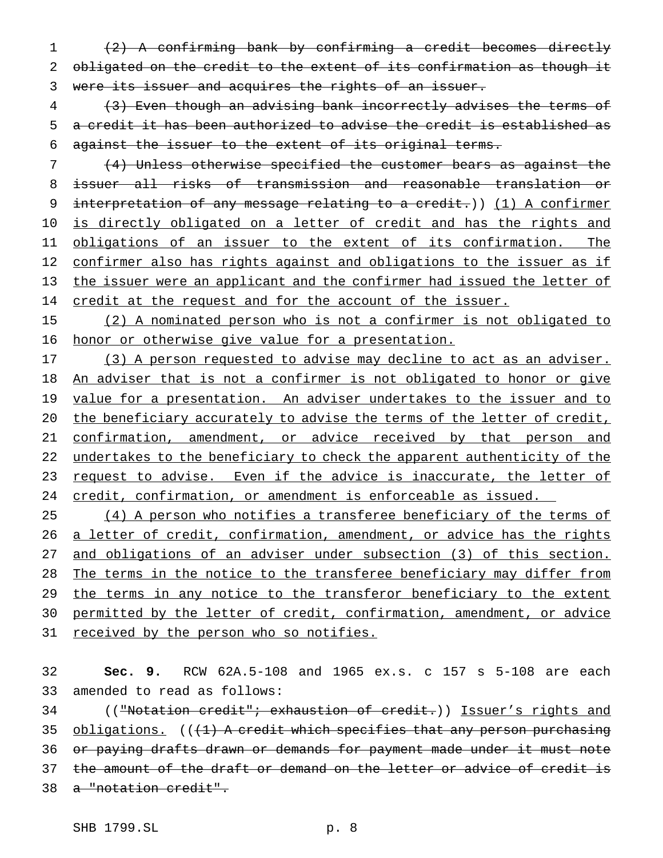1 (2) A confirming bank by confirming a credit becomes directly 2 obligated on the credit to the extent of its confirmation as though it 3 were its issuer and acquires the rights of an issuer.

4 (3) Even though an advising bank incorrectly advises the terms of 5 a credit it has been authorized to advise the credit is established as 6 against the issuer to the extent of its original terms.

7 (4) Unless otherwise specified the customer bears as against the 8 issuer all risks of transmission and reasonable translation or 9 interpretation of any message relating to a credit.)) (1) A confirmer 10 is directly obligated on a letter of credit and has the rights and 11 obligations of an issuer to the extent of its confirmation. The 12 confirmer also has rights against and obligations to the issuer as if 13 the issuer were an applicant and the confirmer had issued the letter of 14 credit at the request and for the account of the issuer.

15 (2) A nominated person who is not a confirmer is not obligated to 16 honor or otherwise give value for a presentation.

17 (3) A person requested to advise may decline to act as an adviser. 18 An adviser that is not a confirmer is not obligated to honor or give 19 value for a presentation. An adviser undertakes to the issuer and to 20 the beneficiary accurately to advise the terms of the letter of credit, 21 confirmation, amendment, or advice received by that person and 22 undertakes to the beneficiary to check the apparent authenticity of the 23 request to advise. Even if the advice is inaccurate, the letter of 24 credit, confirmation, or amendment is enforceable as issued.

25 (4) A person who notifies a transferee beneficiary of the terms of 26 a letter of credit, confirmation, amendment, or advice has the rights 27 and obligations of an adviser under subsection (3) of this section. 28 The terms in the notice to the transferee beneficiary may differ from 29 the terms in any notice to the transferor beneficiary to the extent 30 permitted by the letter of credit, confirmation, amendment, or advice 31 received by the person who so notifies.

32 **Sec. 9.** RCW 62A.5-108 and 1965 ex.s. c 157 s 5-108 are each 33 amended to read as follows:

34 (("Notation credit"; exhaustion of credit.)) Issuer's rights and 35 obligations.  $((1)$  A credit which specifies that any person purchasing 36 or paying drafts drawn or demands for payment made under it must note 37 the amount of the draft or demand on the letter or advice of credit is 38 a "notation credit".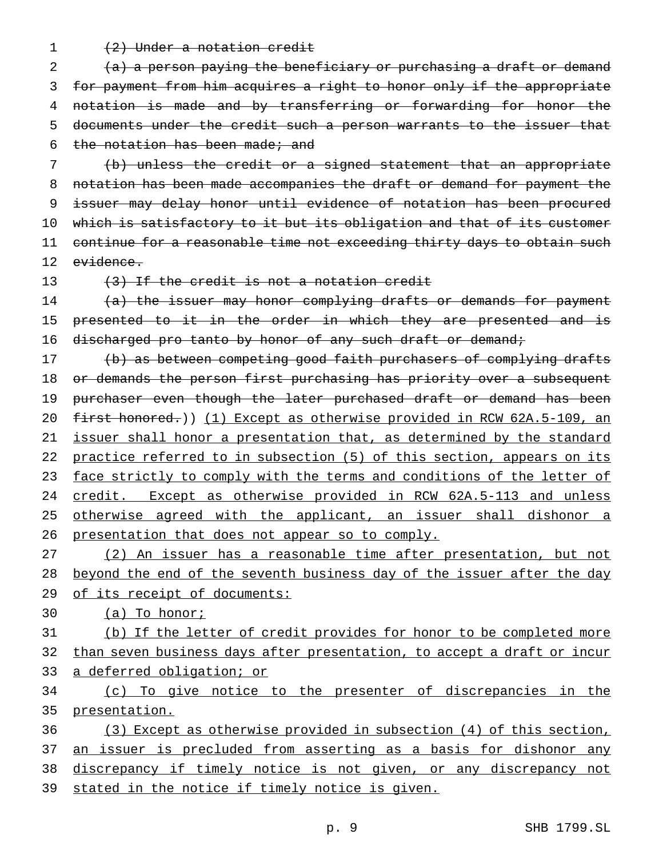1  $(2)$  Under a notation credit

 (a) a person paying the beneficiary or purchasing a draft or demand for payment from him acquires a right to honor only if the appropriate notation is made and by transferring or forwarding for honor the documents under the credit such a person warrants to the issuer that 6 the notation has been made; and

 (b) unless the credit or a signed statement that an appropriate notation has been made accompanies the draft or demand for payment the issuer may delay honor until evidence of notation has been procured which is satisfactory to it but its obligation and that of its customer 11 continue for a reasonable time not exceeding thirty days to obtain such 12 evidence.

13  $(3)$  If the credit is not a notation credit

14 (a) the issuer may honor complying drafts or demands for payment 15 presented to it in the order in which they are presented and is 16 discharged pro tanto by honor of any such draft or demand;

17 (b) as between competing good faith purchasers of complying drafts 18 or demands the person first purchasing has priority over a subsequent 19 purchaser even though the later purchased draft or demand has been 20 first honored.)) (1) Except as otherwise provided in RCW 62A.5-109, an 21 issuer shall honor a presentation that, as determined by the standard 22 practice referred to in subsection (5) of this section, appears on its 23 face strictly to comply with the terms and conditions of the letter of 24 credit. Except as otherwise provided in RCW 62A.5-113 and unless 25 otherwise agreed with the applicant, an issuer shall dishonor a 26 presentation that does not appear so to comply.

27 (2) An issuer has a reasonable time after presentation, but not 28 beyond the end of the seventh business day of the issuer after the day 29 of its receipt of documents:

30 (a) To honor;

31 (b) If the letter of credit provides for honor to be completed more 32 than seven business days after presentation, to accept a draft or incur 33 a deferred obligation; or

34 (c) To give notice to the presenter of discrepancies in the 35 presentation.

 (3) Except as otherwise provided in subsection (4) of this section, 37 an issuer is precluded from asserting as a basis for dishonor any discrepancy if timely notice is not given, or any discrepancy not stated in the notice if timely notice is given.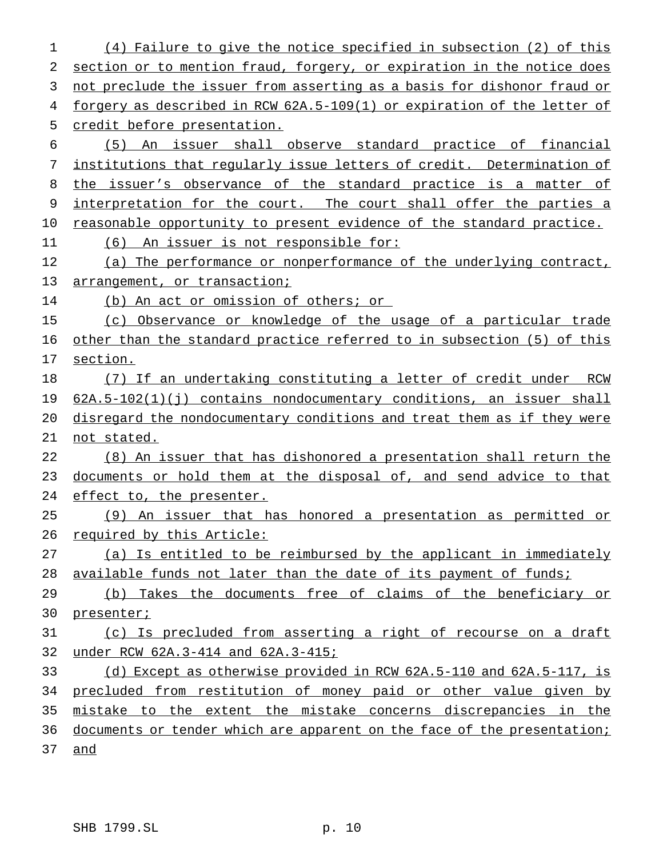(4) Failure to give the notice specified in subsection (2) of this section or to mention fraud, forgery, or expiration in the notice does not preclude the issuer from asserting as a basis for dishonor fraud or forgery as described in RCW 62A.5-109(1) or expiration of the letter of credit before presentation. (5) An issuer shall observe standard practice of financial institutions that regularly issue letters of credit. Determination of the issuer's observance of the standard practice is a matter of 9 interpretation for the court. The court shall offer the parties a reasonable opportunity to present evidence of the standard practice. (6) An issuer is not responsible for: 12 (a) The performance or nonperformance of the underlying contract, 13 arrangement, or transaction; 14 (b) An act or omission of others; or 15 (c) Observance or knowledge of the usage of a particular trade other than the standard practice referred to in subsection (5) of this section. (7) If an undertaking constituting a letter of credit under RCW 62A.5-102(1)(j) contains nondocumentary conditions, an issuer shall disregard the nondocumentary conditions and treat them as if they were not stated. (8) An issuer that has dishonored a presentation shall return the 23 documents or hold them at the disposal of, and send advice to that effect to, the presenter. (9) An issuer that has honored a presentation as permitted or required by this Article: (a) Is entitled to be reimbursed by the applicant in immediately 28 available funds not later than the date of its payment of funds; (b) Takes the documents free of claims of the beneficiary or presenter; (c) Is precluded from asserting a right of recourse on a draft under RCW 62A.3-414 and 62A.3-415; (d) Except as otherwise provided in RCW 62A.5-110 and 62A.5-117, is precluded from restitution of money paid or other value given by mistake to the extent the mistake concerns discrepancies in the documents or tender which are apparent on the face of the presentation;

and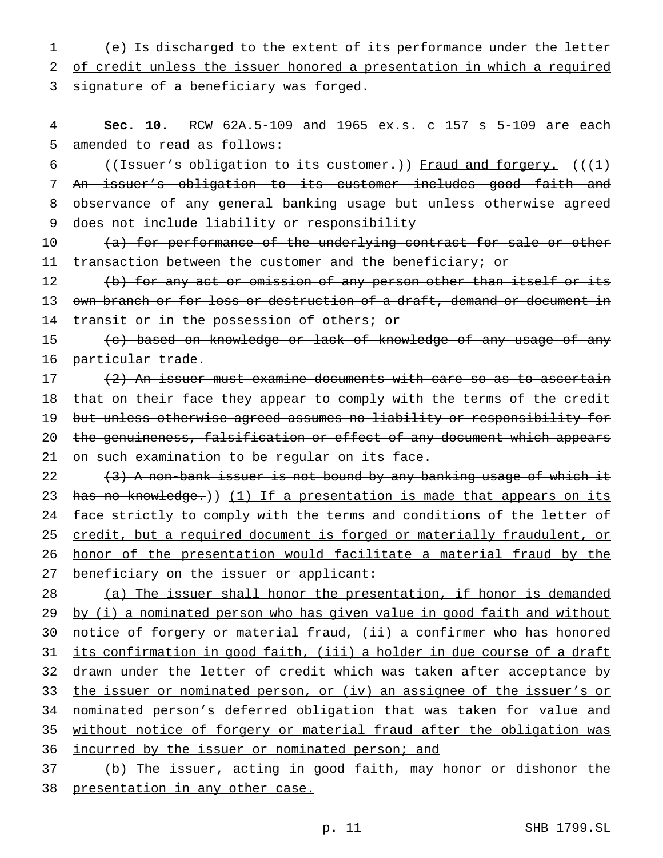1 (e) Is discharged to the extent of its performance under the letter 2 of credit unless the issuer honored a presentation in which a required 3 signature of a beneficiary was forged.

4 **Sec. 10.** RCW 62A.5-109 and 1965 ex.s. c 157 s 5-109 are each 5 amended to read as follows:

6 ((Issuer's obligation to its customer.)) Fraud and forgery. (( $\{\pm\}$ ) An issuer's obligation to its customer includes good faith and observance of any general banking usage but unless otherwise agreed does not include liability or responsibility

10 (a) for performance of the underlying contract for sale or other 11 transaction between the customer and the beneficiary; or

12 (b) for any act or omission of any person other than itself or its 13 own branch or for loss or destruction of a draft, demand or document in 14 transit or in the possession of others; or

15 (c) based on knowledge or lack of knowledge of any usage of any 16 particular trade.

17  $(2)$  An issuer must examine documents with care so as to ascertain 18 that on their face they appear to comply with the terms of the credit 19 but unless otherwise agreed assumes no liability or responsibility for 20 the genuineness, falsification or effect of any document which appears 21 on such examination to be regular on its face.

22  $(3)$  A non-bank issuer is not bound by any banking usage of which it 23 has no knowledge.)) (1) If a presentation is made that appears on its 24 face strictly to comply with the terms and conditions of the letter of 25 credit, but a required document is forged or materially fraudulent, or 26 honor of the presentation would facilitate a material fraud by the 27 beneficiary on the issuer or applicant:

28 (a) The issuer shall honor the presentation, if honor is demanded 29 by (i) a nominated person who has given value in good faith and without 30 notice of forgery or material fraud, (ii) a confirmer who has honored 31 its confirmation in good faith, (iii) a holder in due course of a draft 32 drawn under the letter of credit which was taken after acceptance by 33 the issuer or nominated person, or (iv) an assignee of the issuer's or 34 nominated person's deferred obligation that was taken for value and 35 without notice of forgery or material fraud after the obligation was 36 incurred by the issuer or nominated person; and

37 (b) The issuer, acting in good faith, may honor or dishonor the 38 presentation in any other case.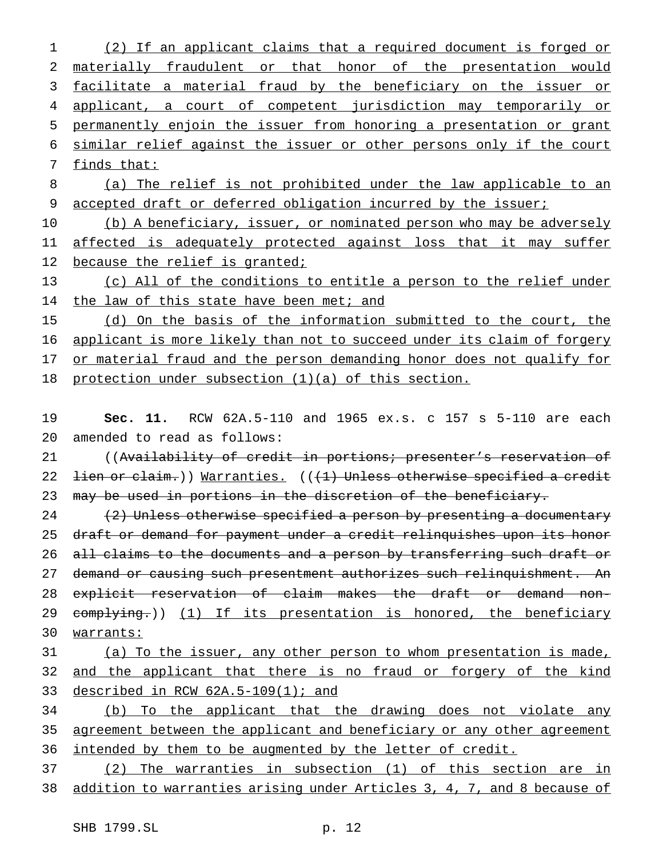(2) If an applicant claims that a required document is forged or materially fraudulent or that honor of the presentation would 3 facilitate a material fraud by the beneficiary on the issuer or applicant, a court of competent jurisdiction may temporarily or permanently enjoin the issuer from honoring a presentation or grant similar relief against the issuer or other persons only if the court finds that:

 (a) The relief is not prohibited under the law applicable to an 9 accepted draft or deferred obligation incurred by the issuer;

 (b) A beneficiary, issuer, or nominated person who may be adversely 11 affected is adequately protected against loss that it may suffer 12 because the relief is granted;

 (c) All of the conditions to entitle a person to the relief under 14 the law of this state have been met; and

 (d) On the basis of the information submitted to the court, the applicant is more likely than not to succeed under its claim of forgery 17 or material fraud and the person demanding honor does not qualify for protection under subsection (1)(a) of this section.

 **Sec. 11.** RCW 62A.5-110 and 1965 ex.s. c 157 s 5-110 are each amended to read as follows:

21 ((Availability of credit in portions; presenter's reservation of 22 <del>lien or claim.</del>)) Warranties. ((<del>(1) Unless otherwise specified a credit</del> 23 may be used in portions in the discretion of the beneficiary.

 (2) Unless otherwise specified a person by presenting a documentary draft or demand for payment under a credit relinquishes upon its honor 26 all claims to the documents and a person by transferring such draft or 27 demand or causing such presentment authorizes such relinquishment. An explicit reservation of claim makes the draft or demand non-29 complying.)) (1) If its presentation is honored, the beneficiary warrants:

 (a) To the issuer, any other person to whom presentation is made, and the applicant that there is no fraud or forgery of the kind described in RCW 62A.5-109(1); and

 (b) To the applicant that the drawing does not violate any 35 agreement between the applicant and beneficiary or any other agreement 36 intended by them to be augmented by the letter of credit.

 (2) The warranties in subsection (1) of this section are in addition to warranties arising under Articles 3, 4, 7, and 8 because of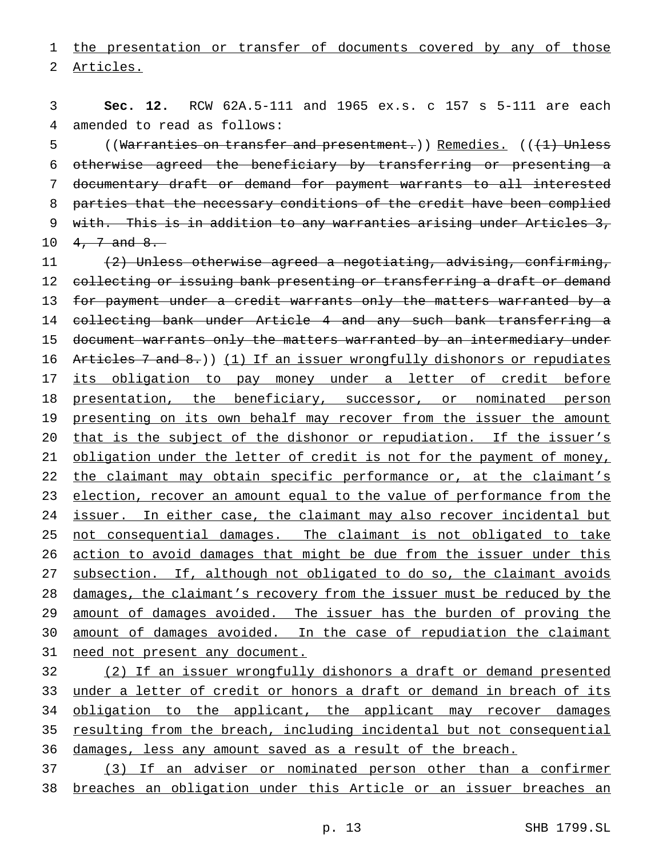the presentation or transfer of documents covered by any of those Articles.

 **Sec. 12.** RCW 62A.5-111 and 1965 ex.s. c 157 s 5-111 are each amended to read as follows:

5 ((Warranties on transfer and presentment.)) Remedies. (( $(1)$ ) Unless otherwise agreed the beneficiary by transferring or presenting a documentary draft or demand for payment warrants to all interested parties that the necessary conditions of the credit have been complied with. This is in addition to any warranties arising under Articles 3,  $4, 7$  and  $8$ .

 (2) Unless otherwise agreed a negotiating, advising, confirming, 12 collecting or issuing bank presenting or transferring a draft or demand 13 for payment under a credit warrants only the matters warranted by a collecting bank under Article 4 and any such bank transferring a 15 document warrants only the matters warranted by an intermediary under 16 Articles 7 and 8.)) (1) If an issuer wrongfully dishonors or repudiates its obligation to pay money under a letter of credit before 18 presentation, the beneficiary, successor, or nominated person 19 presenting on its own behalf may recover from the issuer the amount that is the subject of the dishonor or repudiation. If the issuer's 21 obligation under the letter of credit is not for the payment of money, 22 the claimant may obtain specific performance or, at the claimant's election, recover an amount equal to the value of performance from the issuer. In either case, the claimant may also recover incidental but 25 not consequential damages. The claimant is not obligated to take action to avoid damages that might be due from the issuer under this subsection. If, although not obligated to do so, the claimant avoids 28 damages, the claimant's recovery from the issuer must be reduced by the 29 amount of damages avoided. The issuer has the burden of proving the amount of damages avoided. In the case of repudiation the claimant need not present any document.

 (2) If an issuer wrongfully dishonors a draft or demand presented 33 under a letter of credit or honors a draft or demand in breach of its obligation to the applicant, the applicant may recover damages resulting from the breach, including incidental but not consequential 36 damages, less any amount saved as a result of the breach.

 (3) If an adviser or nominated person other than a confirmer breaches an obligation under this Article or an issuer breaches an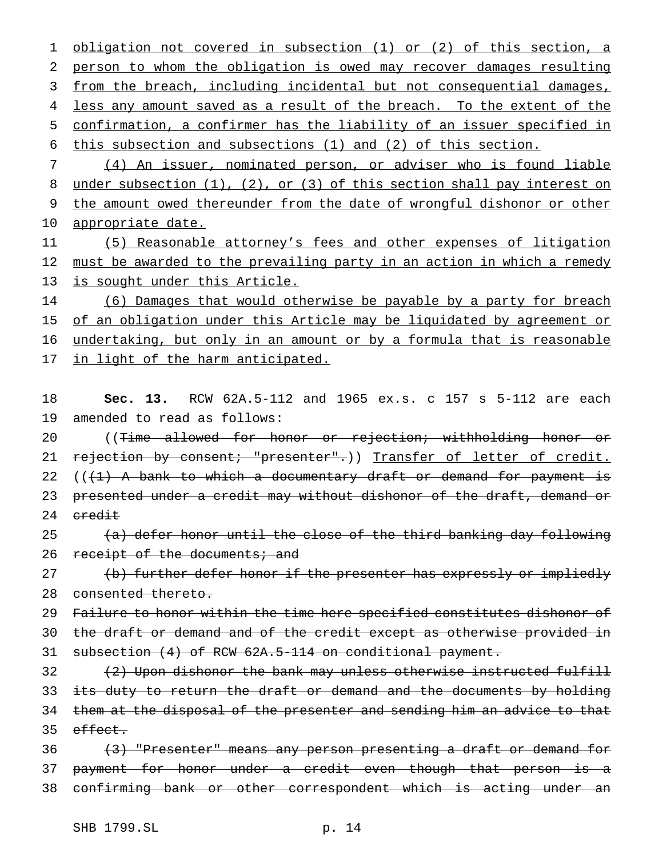obligation not covered in subsection (1) or (2) of this section, a person to whom the obligation is owed may recover damages resulting from the breach, including incidental but not consequential damages, 4 less any amount saved as a result of the breach. To the extent of the confirmation, a confirmer has the liability of an issuer specified in this subsection and subsections (1) and (2) of this section.

 (4) An issuer, nominated person, or adviser who is found liable under subsection (1), (2), or (3) of this section shall pay interest on the amount owed thereunder from the date of wrongful dishonor or other appropriate date.

11 (5) Reasonable attorney's fees and other expenses of litigation 12 must be awarded to the prevailing party in an action in which a remedy 13 is sought under this Article.

14 (6) Damages that would otherwise be payable by a party for breach 15 of an obligation under this Article may be liquidated by agreement or 16 undertaking, but only in an amount or by a formula that is reasonable 17 in light of the harm anticipated.

18 **Sec. 13.** RCW 62A.5-112 and 1965 ex.s. c 157 s 5-112 are each 19 amended to read as follows:

20 ((Time allowed for honor or rejection; withholding honor or 21 rejection by consent; "presenter".)) Transfer of letter of credit. 22  $((1)$  A bank to which a documentary draft or demand for payment is 23 presented under a credit may without dishonor of the draft, demand or 24 credit

25 (a) defer honor until the close of the third banking day following 26 receipt of the documents; and

27 (b) further defer honor if the presenter has expressly or impliedly 28 consented thereto.

29 Failure to honor within the time here specified constitutes dishonor of 30 the draft or demand and of the credit except as otherwise provided in 31 subsection (4) of RCW 62A.5-114 on conditional payment.

32 (2) Upon dishonor the bank may unless otherwise instructed fulfill 33 its duty to return the draft or demand and the documents by holding 34 them at the disposal of the presenter and sending him an advice to that 35 effect.

36 (3) "Presenter" means any person presenting a draft or demand for 37 payment for honor under a credit even though that person is a 38 confirming bank or other correspondent which is acting under an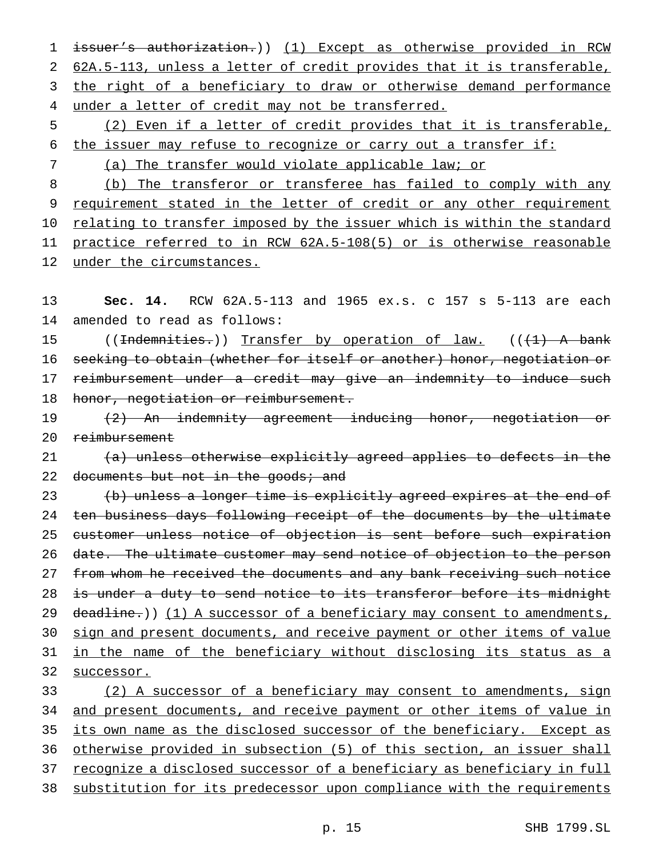1 issuer's authorization.)) (1) Except as otherwise provided in RCW 2 62A.5-113, unless a letter of credit provides that it is transferable, 3 the right of a beneficiary to draw or otherwise demand performance 4 under a letter of credit may not be transferred.

5 (2) Even if a letter of credit provides that it is transferable, 6 the issuer may refuse to recognize or carry out a transfer if:

7 (a) The transfer would violate applicable law; or

8 (b) The transferor or transferee has failed to comply with any 9 requirement stated in the letter of credit or any other requirement 10 relating to transfer imposed by the issuer which is within the standard 11 practice referred to in RCW 62A.5-108(5) or is otherwise reasonable 12 under the circumstances.

13 **Sec. 14.** RCW 62A.5-113 and 1965 ex.s. c 157 s 5-113 are each 14 amended to read as follows:

15 ((<del>Indemnities.</del>)) Transfer by operation of law. ((<del>(1) A bank</del> 16 seeking to obtain (whether for itself or another) honor, negotiation or 17 reimbursement under a credit may give an indemnity to induce such 18 honor, negotiation or reimbursement.

19 (2) An indemnity agreement inducing honor, negotiation or 20 reimbursement

21 (a) unless otherwise explicitly agreed applies to defects in the 22 documents but not in the goods; and

23 (b) unless a longer time is explicitly agreed expires at the end of 24 ten business days following receipt of the documents by the ultimate 25 customer unless notice of objection is sent before such expiration 26 date. The ultimate customer may send notice of objection to the person 27 from whom he received the documents and any bank receiving such notice 28 is under a duty to send notice to its transferor before its midnight 29 deadline.)) (1) A successor of a beneficiary may consent to amendments, 30 sign and present documents, and receive payment or other items of value 31 in the name of the beneficiary without disclosing its status as a 32 successor.

33 (2) A successor of a beneficiary may consent to amendments, sign and present documents, and receive payment or other items of value in 35 its own name as the disclosed successor of the beneficiary. Except as otherwise provided in subsection (5) of this section, an issuer shall recognize a disclosed successor of a beneficiary as beneficiary in full substitution for its predecessor upon compliance with the requirements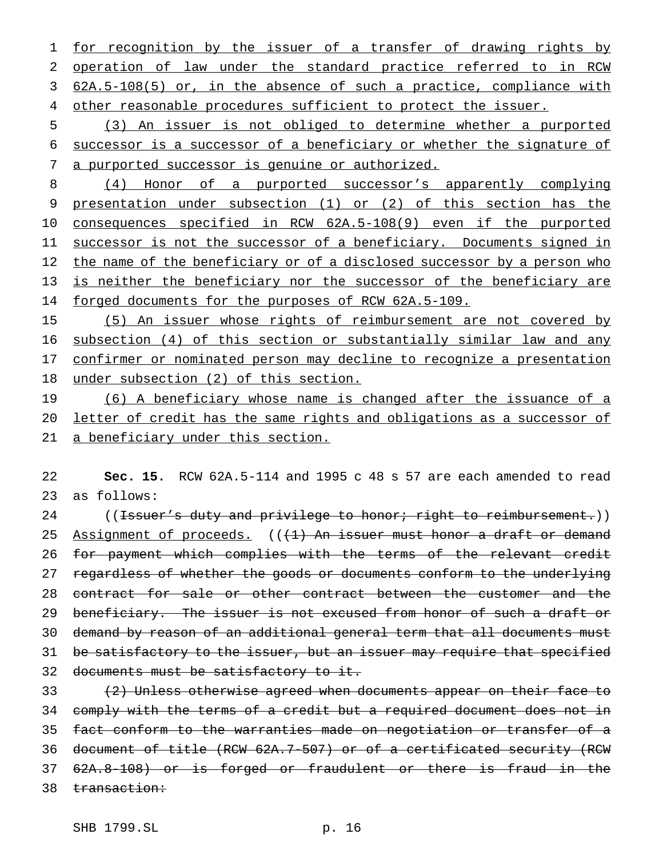1 for recognition by the issuer of a transfer of drawing rights by operation of law under the standard practice referred to in RCW 62A.5-108(5) or, in the absence of such a practice, compliance with 4 other reasonable procedures sufficient to protect the issuer.

 (3) An issuer is not obliged to determine whether a purported successor is a successor of a beneficiary or whether the signature of a purported successor is genuine or authorized.

 (4) Honor of a purported successor's apparently complying presentation under subsection (1) or (2) of this section has the consequences specified in RCW 62A.5-108(9) even if the purported 11 successor is not the successor of a beneficiary. Documents signed in 12 the name of the beneficiary or of a disclosed successor by a person who 13 is neither the beneficiary nor the successor of the beneficiary are 14 forged documents for the purposes of RCW 62A.5-109.

 (5) An issuer whose rights of reimbursement are not covered by subsection (4) of this section or substantially similar law and any confirmer or nominated person may decline to recognize a presentation under subsection (2) of this section.

 (6) A beneficiary whose name is changed after the issuance of a letter of credit has the same rights and obligations as a successor of a beneficiary under this section.

 **Sec. 15.** RCW 62A.5-114 and 1995 c 48 s 57 are each amended to read as follows:

24 ((Issuer's duty and privilege to honor; right to reimbursement.)) 25 Assignment of proceeds.  $((+1)$  An issuer must honor a draft or demand 26 for payment which complies with the terms of the relevant credit 27 regardless of whether the goods or documents conform to the underlying contract for sale or other contract between the customer and the 29 beneficiary. The issuer is not excused from honor of such a draft or demand by reason of an additional general term that all documents must be satisfactory to the issuer, but an issuer may require that specified documents must be satisfactory to it. 33 (2) Unless otherwise agreed when documents appear on their face to

34 comply with the terms of a credit but a required document does not in fact conform to the warranties made on negotiation or transfer of a document of title (RCW 62A.7-507) or of a certificated security (RCW 62A.8-108) or is forged or fraudulent or there is fraud in the transaction: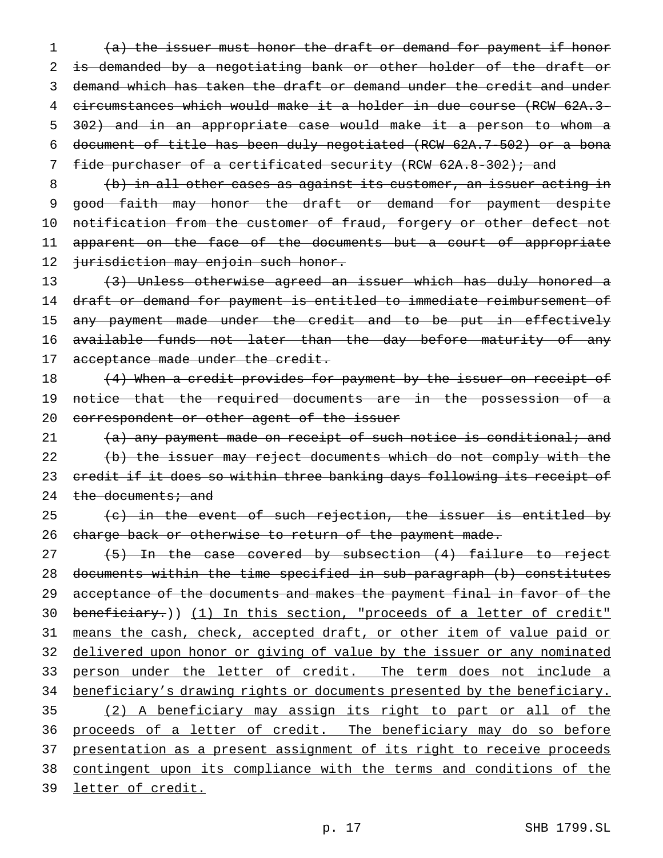(a) the issuer must honor the draft or demand for payment if honor 2 is demanded by a negotiating bank or other holder of the draft or demand which has taken the draft or demand under the credit and under circumstances which would make it a holder in due course (RCW 62A.3- 302) and in an appropriate case would make it a person to whom a document of title has been duly negotiated (RCW 62A.7-502) or a bona 7 fide purchaser of a certificated security (RCW 62A.8-302); and

8 (b) in all other cases as against its customer, an issuer acting in 9 good faith may honor the draft or demand for payment despite 10 notification from the customer of fraud, forgery or other defect not 11 apparent on the face of the documents but a court of appropriate 12 jurisdiction may enjoin such honor.

13 (3) Unless otherwise agreed an issuer which has duly honored a 14 draft or demand for payment is entitled to immediate reimbursement of 15 any payment made under the credit and to be put in effectively 16 available funds not later than the day before maturity of any 17 acceptance made under the credit.

18 (4) When a credit provides for payment by the issuer on receipt of 19 notice that the required documents are in the possession of a 20 correspondent or other agent of the issuer

21  $(a)$  any payment made on receipt of such notice is conditional; and 22 (b) the issuer may reject documents which do not comply with the 23 credit if it does so within three banking days following its receipt of 24 the documents; and

# 25  $\left\{\mathrm{c}\right\}$  in the event of such rejection, the issuer is entitled by 26 charge back or otherwise to return of the payment made.

27  $(5)$  In the case covered by subsection  $(4)$  failure to reject 28 documents within the time specified in sub-paragraph (b) constitutes 29 acceptance of the documents and makes the payment final in favor of the 30 beneficiary.)) (1) In this section, "proceeds of a letter of credit" 31 means the cash, check, accepted draft, or other item of value paid or 32 delivered upon honor or giving of value by the issuer or any nominated 33 person under the letter of credit. The term does not include a 34 beneficiary's drawing rights or documents presented by the beneficiary. 35 (2) A beneficiary may assign its right to part or all of the 36 proceeds of a letter of credit. The beneficiary may do so before 37 presentation as a present assignment of its right to receive proceeds 38 contingent upon its compliance with the terms and conditions of the 39 letter of credit.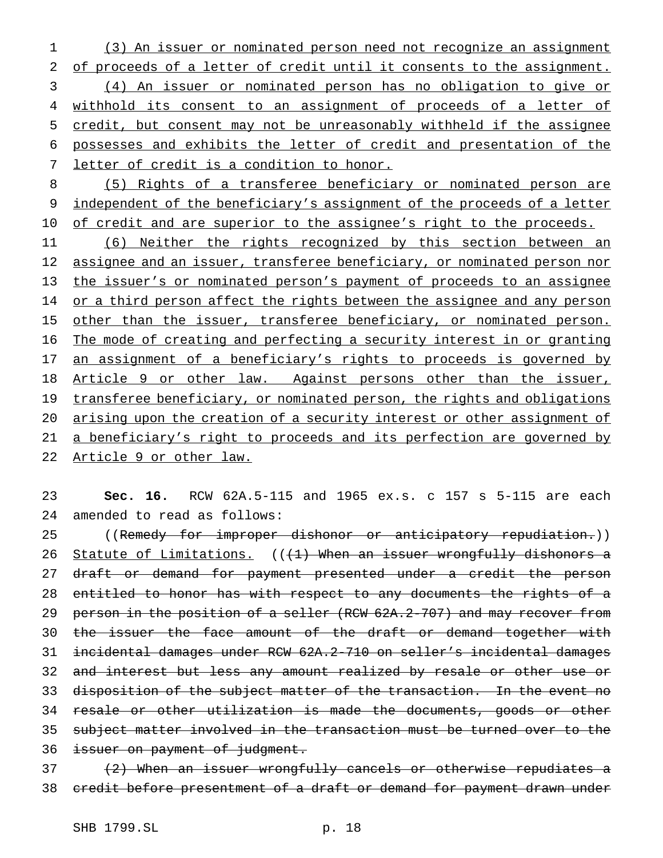(3) An issuer or nominated person need not recognize an assignment of proceeds of a letter of credit until it consents to the assignment. (4) An issuer or nominated person has no obligation to give or 4 withhold its consent to an assignment of proceeds of a letter of credit, but consent may not be unreasonably withheld if the assignee possesses and exhibits the letter of credit and presentation of the letter of credit is a condition to honor.

8 (5) Rights of a transferee beneficiary or nominated person are 9 independent of the beneficiary's assignment of the proceeds of a letter 10 of credit and are superior to the assignee's right to the proceeds.

11 (6) Neither the rights recognized by this section between an 12 assignee and an issuer, transferee beneficiary, or nominated person nor 13 the issuer's or nominated person's payment of proceeds to an assignee 14 or a third person affect the rights between the assignee and any person 15 other than the issuer, transferee beneficiary, or nominated person. 16 The mode of creating and perfecting a security interest in or granting 17 an assignment of a beneficiary's rights to proceeds is governed by 18 Article 9 or other law. Against persons other than the issuer, 19 transferee beneficiary, or nominated person, the rights and obligations 20 arising upon the creation of a security interest or other assignment of 21 a beneficiary's right to proceeds and its perfection are governed by 22 Article 9 or other law.

23 **Sec. 16.** RCW 62A.5-115 and 1965 ex.s. c 157 s 5-115 are each 24 amended to read as follows:

25 ((Remedy for improper dishonor or anticipatory repudiation.)) 26 Statute of Limitations.  $((+1)$  When an issuer wrongfully dishonors a 27 draft or demand for payment presented under a credit the person 28 entitled to honor has with respect to any documents the rights of a 29 person in the position of a seller (RCW 62A.2-707) and may recover from 30 the issuer the face amount of the draft or demand together with 31 incidental damages under RCW 62A.2-710 on seller's incidental damages 32 and interest but less any amount realized by resale or other use or 33 disposition of the subject matter of the transaction. In the event no 34 resale or other utilization is made the documents, goods or other 35 subject matter involved in the transaction must be turned over to the 36 issuer on payment of judgment.

37 (2) When an issuer wrongfully cancels or otherwise repudiates a 38 credit before presentment of a draft or demand for payment drawn under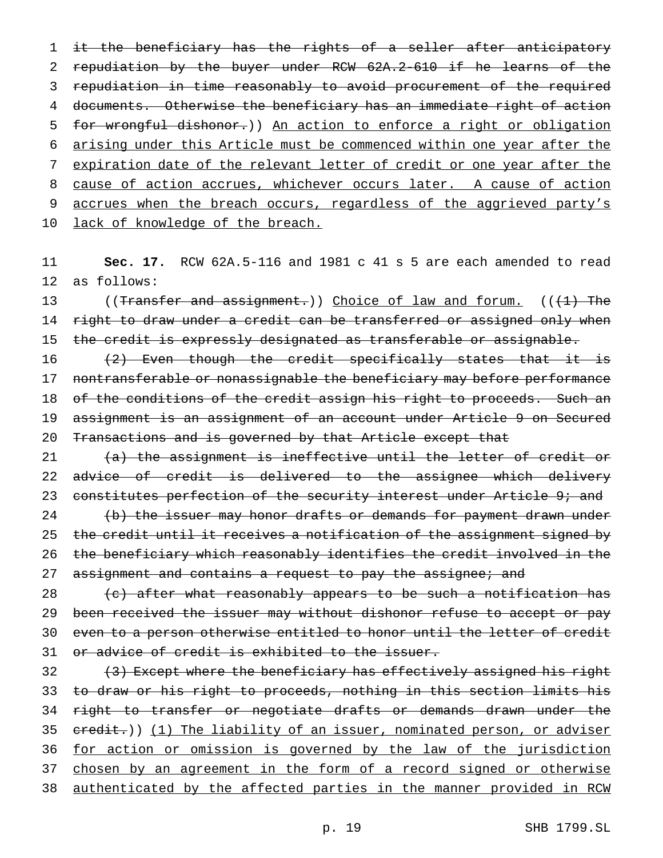1 it the beneficiary has the rights of a seller after anticipatory repudiation by the buyer under RCW 62A.2-610 if he learns of the repudiation in time reasonably to avoid procurement of the required documents. Otherwise the beneficiary has an immediate right of action for wrongful dishonor.)) An action to enforce a right or obligation arising under this Article must be commenced within one year after the expiration date of the relevant letter of credit or one year after the cause of action accrues, whichever occurs later. A cause of action 9 accrues when the breach occurs, regardless of the aggrieved party's 10 lack of knowledge of the breach.

11 **Sec. 17.** RCW 62A.5-116 and 1981 c 41 s 5 are each amended to read 12 as follows:

13 ((Transfer and assignment.)) Choice of law and forum. (((1) The 14 right to draw under a credit can be transferred or assigned only when 15 the credit is expressly designated as transferable or assignable.

16 (2) Even though the credit specifically states that it is 17 nontransferable or nonassignable the beneficiary may before performance 18 of the conditions of the credit assign his right to proceeds. Such an 19 assignment is an assignment of an account under Article 9 on Secured 20 Transactions and is governed by that Article except that

21 (a) the assignment is ineffective until the letter of credit or 22 advice of credit is delivered to the assignee which delivery 23 constitutes perfection of the security interest under Article 9; and 24 (b) the issuer may honor drafts or demands for payment drawn under 25 the credit until it receives a notification of the assignment signed by 26 the beneficiary which reasonably identifies the credit involved in the

27 assignment and contains a request to pay the assignee; and

28  $(e)$  after what reasonably appears to be such a notification has 29 been received the issuer may without dishonor refuse to accept or pay 30 even to a person otherwise entitled to honor until the letter of credit 31 or advice of credit is exhibited to the issuer.

32 (3) Except where the beneficiary has effectively assigned his right 33 to draw or his right to proceeds, nothing in this section limits his 34 right to transfer or negotiate drafts or demands drawn under the 35 credit.)) (1) The liability of an issuer, nominated person, or adviser 36 for action or omission is governed by the law of the jurisdiction 37 chosen by an agreement in the form of a record signed or otherwise 38 authenticated by the affected parties in the manner provided in RCW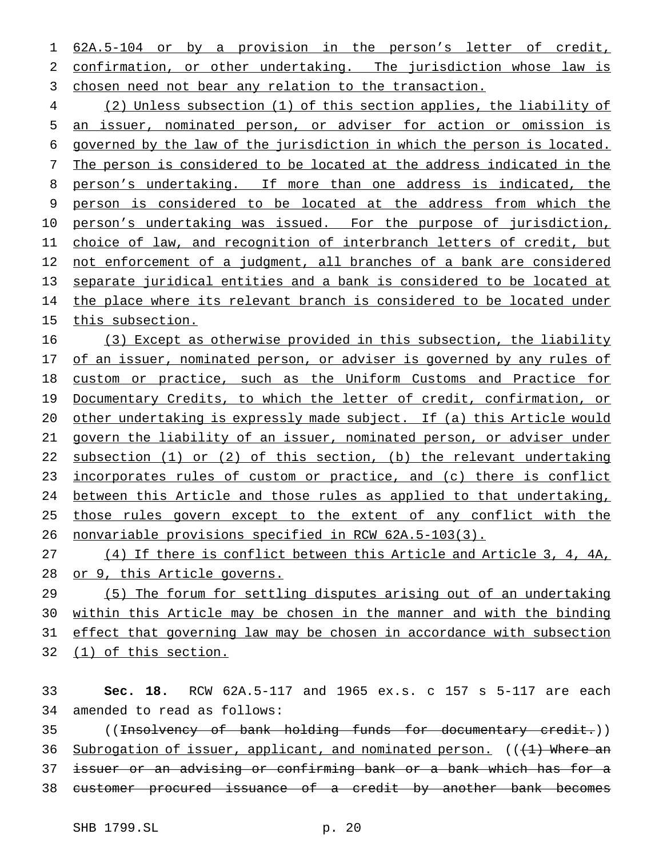62A.5-104 or by a provision in the person's letter of credit, confirmation, or other undertaking. The jurisdiction whose law is chosen need not bear any relation to the transaction.

 (2) Unless subsection (1) of this section applies, the liability of an issuer, nominated person, or adviser for action or omission is governed by the law of the jurisdiction in which the person is located. The person is considered to be located at the address indicated in the person's undertaking. If more than one address is indicated, the person is considered to be located at the address from which the 10 person's undertaking was issued. For the purpose of jurisdiction, choice of law, and recognition of interbranch letters of credit, but not enforcement of a judgment, all branches of a bank are considered separate juridical entities and a bank is considered to be located at 14 the place where its relevant branch is considered to be located under 15 this subsection.

 (3) Except as otherwise provided in this subsection, the liability 17 of an issuer, nominated person, or adviser is governed by any rules of custom or practice, such as the Uniform Customs and Practice for 19 Documentary Credits, to which the letter of credit, confirmation, or other undertaking is expressly made subject. If (a) this Article would govern the liability of an issuer, nominated person, or adviser under subsection (1) or (2) of this section, (b) the relevant undertaking incorporates rules of custom or practice, and (c) there is conflict between this Article and those rules as applied to that undertaking, 25 those rules govern except to the extent of any conflict with the nonvariable provisions specified in RCW 62A.5-103(3).

 (4) If there is conflict between this Article and Article 3, 4, 4A, or 9, this Article governs.

 (5) The forum for settling disputes arising out of an undertaking within this Article may be chosen in the manner and with the binding effect that governing law may be chosen in accordance with subsection (1) of this section.

 **Sec. 18.** RCW 62A.5-117 and 1965 ex.s. c 157 s 5-117 are each amended to read as follows:

35 ((Insolvency of bank holding funds for documentary credit.)) 36 Subrogation of issuer, applicant, and nominated person. ((+1) Where an issuer or an advising or confirming bank or a bank which has for a customer procured issuance of a credit by another bank becomes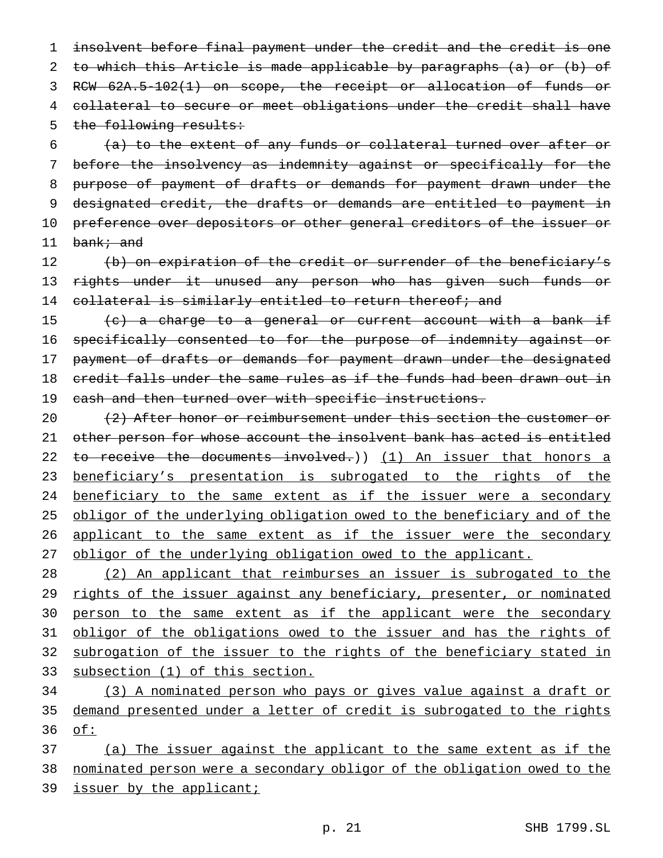insolvent before final payment under the credit and the credit is one to which this Article is made applicable by paragraphs (a) or (b) of RCW 62A.5-102(1) on scope, the receipt or allocation of funds or collateral to secure or meet obligations under the credit shall have 5 the following results:

 $6$  (a) to the extent of any funds or collateral turned over after or 7 before the insolvency as indemnity against or specifically for the 8 purpose of payment of drafts or demands for payment drawn under the 9 designated credit, the drafts or demands are entitled to payment in 10 preference over depositors or other general creditors of the issuer or 11 <del>bank; and</del>

12 (b) on expiration of the credit or surrender of the beneficiary's 13 rights under it unused any person who has given such funds or 14 collateral is similarly entitled to return thereof; and

15  $(e)$  a charge to a general or current account with a bank if 16 specifically consented to for the purpose of indemnity against or 17 payment of drafts or demands for payment drawn under the designated 18 credit falls under the same rules as if the funds had been drawn out in 19 cash and then turned over with specific instructions.

20 (2) After honor or reimbursement under this section the customer or 21 other person for whose account the insolvent bank has acted is entitled 22 to receive the documents involved.)) (1) An issuer that honors a 23 beneficiary's presentation is subrogated to the rights of the 24 beneficiary to the same extent as if the issuer were a secondary 25 obligor of the underlying obligation owed to the beneficiary and of the 26 applicant to the same extent as if the issuer were the secondary 27 obligor of the underlying obligation owed to the applicant.

28 (2) An applicant that reimburses an issuer is subrogated to the 29 rights of the issuer against any beneficiary, presenter, or nominated 30 person to the same extent as if the applicant were the secondary 31 obligor of the obligations owed to the issuer and has the rights of 32 subrogation of the issuer to the rights of the beneficiary stated in 33 subsection (1) of this section.

34 (3) A nominated person who pays or gives value against a draft or 35 demand presented under a letter of credit is subrogated to the rights 36 of:

37 (a) The issuer against the applicant to the same extent as if the 38 nominated person were a secondary obligor of the obligation owed to the 39 issuer by the applicant;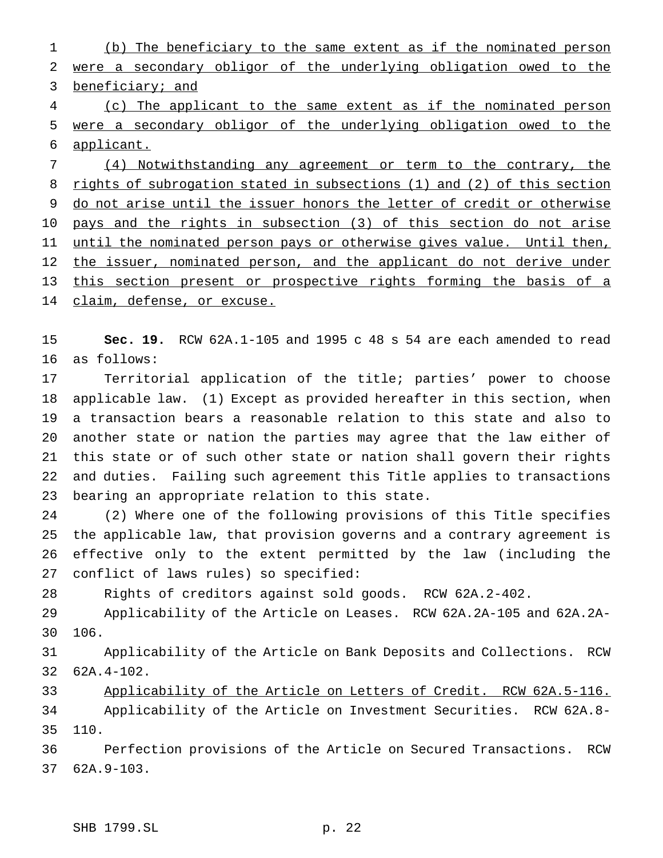(b) The beneficiary to the same extent as if the nominated person were a secondary obligor of the underlying obligation owed to the 3 beneficiary; and

 (c) The applicant to the same extent as if the nominated person were a secondary obligor of the underlying obligation owed to the applicant.

 (4) Notwithstanding any agreement or term to the contrary, the 8 rights of subrogation stated in subsections (1) and (2) of this section do not arise until the issuer honors the letter of credit or otherwise pays and the rights in subsection (3) of this section do not arise until the nominated person pays or otherwise gives value. Until then, 12 the issuer, nominated person, and the applicant do not derive under 13 this section present or prospective rights forming the basis of a claim, defense, or excuse.

 **Sec. 19.** RCW 62A.1-105 and 1995 c 48 s 54 are each amended to read as follows:

 Territorial application of the title; parties' power to choose applicable law. (1) Except as provided hereafter in this section, when a transaction bears a reasonable relation to this state and also to another state or nation the parties may agree that the law either of this state or of such other state or nation shall govern their rights and duties. Failing such agreement this Title applies to transactions bearing an appropriate relation to this state.

 (2) Where one of the following provisions of this Title specifies the applicable law, that provision governs and a contrary agreement is effective only to the extent permitted by the law (including the conflict of laws rules) so specified:

Rights of creditors against sold goods. RCW 62A.2-402.

 Applicability of the Article on Leases. RCW 62A.2A-105 and 62A.2A-106.

 Applicability of the Article on Bank Deposits and Collections. RCW 62A.4-102.

 Applicability of the Article on Letters of Credit. RCW 62A.5-116. Applicability of the Article on Investment Securities. RCW 62A.8- 110.

 Perfection provisions of the Article on Secured Transactions. RCW 62A.9-103.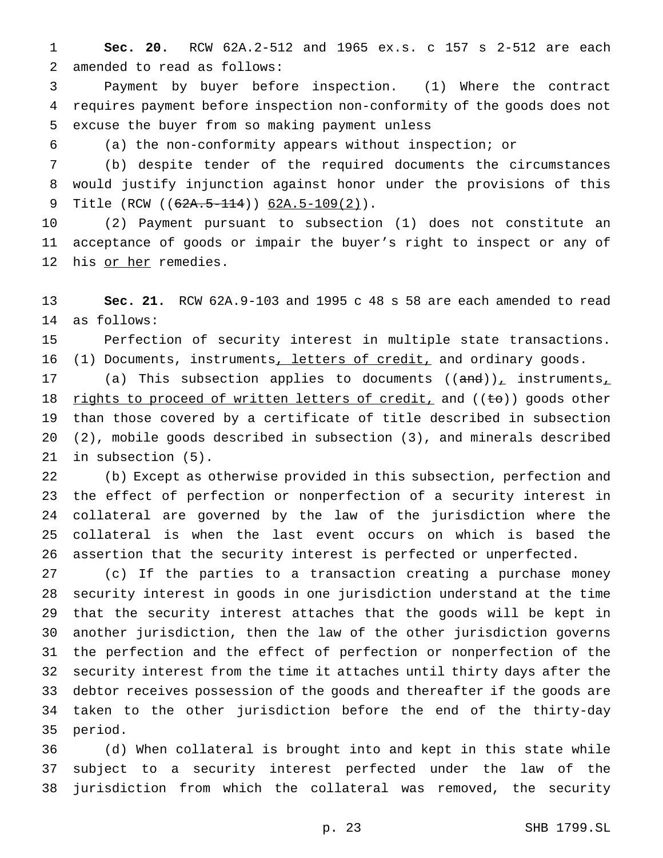**Sec. 20.** RCW 62A.2-512 and 1965 ex.s. c 157 s 2-512 are each amended to read as follows:

 Payment by buyer before inspection. (1) Where the contract requires payment before inspection non-conformity of the goods does not excuse the buyer from so making payment unless

(a) the non-conformity appears without inspection; or

 (b) despite tender of the required documents the circumstances would justify injunction against honor under the provisions of this 9 Title (RCW ((62A.5-114)) 62A.5-109(2)).

 (2) Payment pursuant to subsection (1) does not constitute an acceptance of goods or impair the buyer's right to inspect or any of 12 his or her remedies.

 **Sec. 21.** RCW 62A.9-103 and 1995 c 48 s 58 are each amended to read as follows:

 Perfection of security interest in multiple state transactions. 16 (1) Documents, instruments, letters of credit, and ordinary goods.

17 (a) This subsection applies to documents  $((and))_{\perp}$  instruments<sub> $\perp$ </sub> 18 rights to proceed of written letters of credit, and ((to)) goods other than those covered by a certificate of title described in subsection (2), mobile goods described in subsection (3), and minerals described in subsection (5).

 (b) Except as otherwise provided in this subsection, perfection and the effect of perfection or nonperfection of a security interest in collateral are governed by the law of the jurisdiction where the collateral is when the last event occurs on which is based the assertion that the security interest is perfected or unperfected.

 (c) If the parties to a transaction creating a purchase money security interest in goods in one jurisdiction understand at the time that the security interest attaches that the goods will be kept in another jurisdiction, then the law of the other jurisdiction governs the perfection and the effect of perfection or nonperfection of the security interest from the time it attaches until thirty days after the debtor receives possession of the goods and thereafter if the goods are taken to the other jurisdiction before the end of the thirty-day period.

 (d) When collateral is brought into and kept in this state while subject to a security interest perfected under the law of the jurisdiction from which the collateral was removed, the security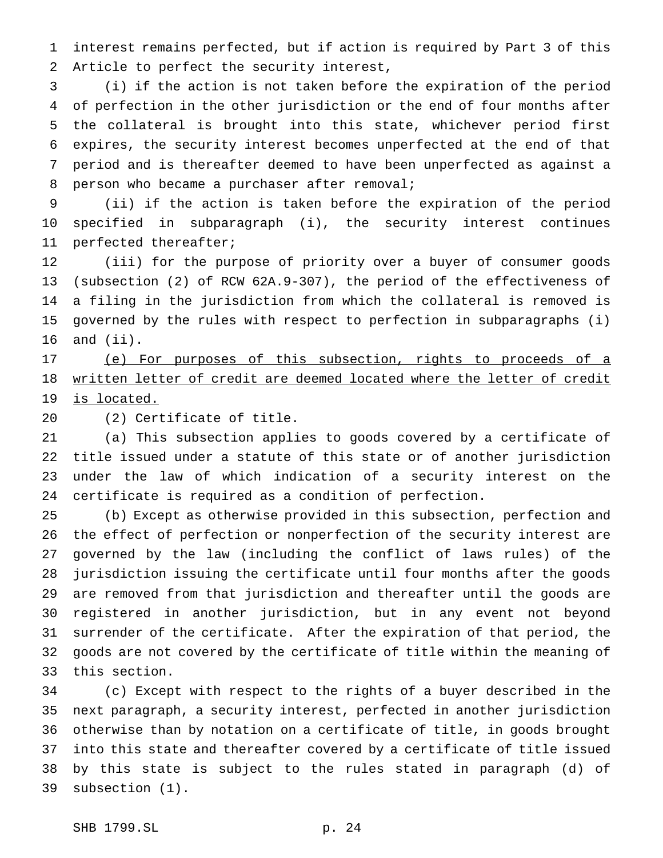interest remains perfected, but if action is required by Part 3 of this Article to perfect the security interest,

 (i) if the action is not taken before the expiration of the period of perfection in the other jurisdiction or the end of four months after the collateral is brought into this state, whichever period first expires, the security interest becomes unperfected at the end of that period and is thereafter deemed to have been unperfected as against a person who became a purchaser after removal;

 (ii) if the action is taken before the expiration of the period specified in subparagraph (i), the security interest continues perfected thereafter;

 (iii) for the purpose of priority over a buyer of consumer goods (subsection (2) of RCW 62A.9-307), the period of the effectiveness of a filing in the jurisdiction from which the collateral is removed is governed by the rules with respect to perfection in subparagraphs (i) and (ii).

 (e) For purposes of this subsection, rights to proceeds of a 18 written letter of credit are deemed located where the letter of credit is located.

(2) Certificate of title.

 (a) This subsection applies to goods covered by a certificate of title issued under a statute of this state or of another jurisdiction under the law of which indication of a security interest on the certificate is required as a condition of perfection.

 (b) Except as otherwise provided in this subsection, perfection and the effect of perfection or nonperfection of the security interest are governed by the law (including the conflict of laws rules) of the jurisdiction issuing the certificate until four months after the goods are removed from that jurisdiction and thereafter until the goods are registered in another jurisdiction, but in any event not beyond surrender of the certificate. After the expiration of that period, the goods are not covered by the certificate of title within the meaning of this section.

 (c) Except with respect to the rights of a buyer described in the next paragraph, a security interest, perfected in another jurisdiction otherwise than by notation on a certificate of title, in goods brought into this state and thereafter covered by a certificate of title issued by this state is subject to the rules stated in paragraph (d) of subsection (1).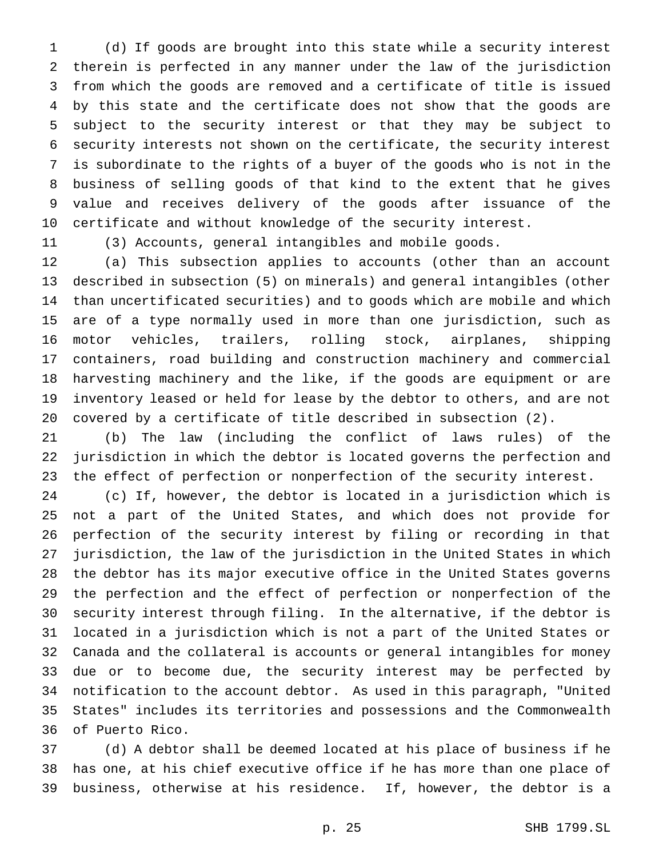(d) If goods are brought into this state while a security interest therein is perfected in any manner under the law of the jurisdiction from which the goods are removed and a certificate of title is issued by this state and the certificate does not show that the goods are subject to the security interest or that they may be subject to security interests not shown on the certificate, the security interest is subordinate to the rights of a buyer of the goods who is not in the business of selling goods of that kind to the extent that he gives value and receives delivery of the goods after issuance of the certificate and without knowledge of the security interest.

(3) Accounts, general intangibles and mobile goods.

 (a) This subsection applies to accounts (other than an account described in subsection (5) on minerals) and general intangibles (other than uncertificated securities) and to goods which are mobile and which are of a type normally used in more than one jurisdiction, such as motor vehicles, trailers, rolling stock, airplanes, shipping containers, road building and construction machinery and commercial harvesting machinery and the like, if the goods are equipment or are inventory leased or held for lease by the debtor to others, and are not covered by a certificate of title described in subsection (2).

 (b) The law (including the conflict of laws rules) of the jurisdiction in which the debtor is located governs the perfection and the effect of perfection or nonperfection of the security interest.

 (c) If, however, the debtor is located in a jurisdiction which is not a part of the United States, and which does not provide for perfection of the security interest by filing or recording in that jurisdiction, the law of the jurisdiction in the United States in which the debtor has its major executive office in the United States governs the perfection and the effect of perfection or nonperfection of the security interest through filing. In the alternative, if the debtor is located in a jurisdiction which is not a part of the United States or Canada and the collateral is accounts or general intangibles for money due or to become due, the security interest may be perfected by notification to the account debtor. As used in this paragraph, "United States" includes its territories and possessions and the Commonwealth of Puerto Rico.

 (d) A debtor shall be deemed located at his place of business if he has one, at his chief executive office if he has more than one place of business, otherwise at his residence. If, however, the debtor is a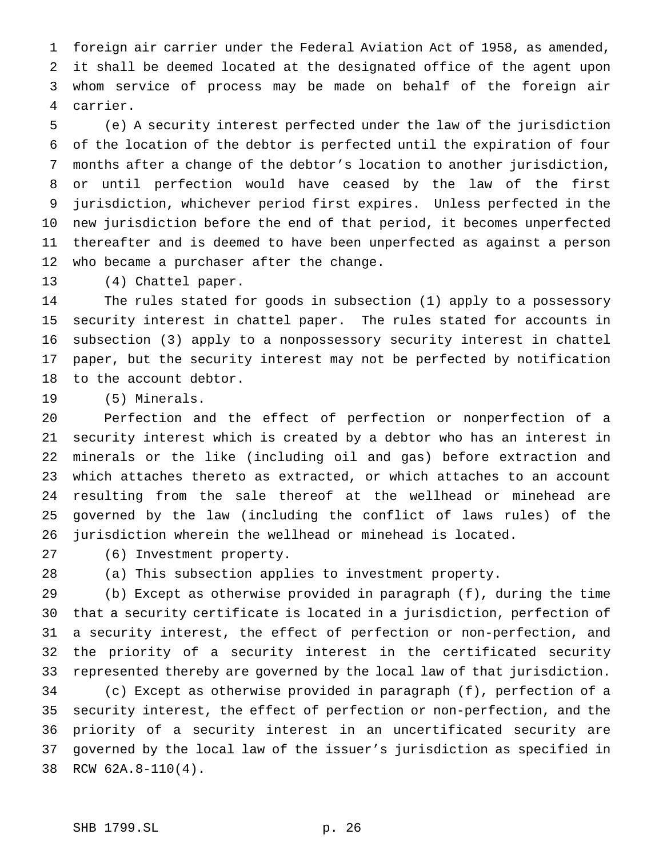foreign air carrier under the Federal Aviation Act of 1958, as amended, it shall be deemed located at the designated office of the agent upon whom service of process may be made on behalf of the foreign air carrier.

 (e) A security interest perfected under the law of the jurisdiction of the location of the debtor is perfected until the expiration of four months after a change of the debtor's location to another jurisdiction, or until perfection would have ceased by the law of the first jurisdiction, whichever period first expires. Unless perfected in the new jurisdiction before the end of that period, it becomes unperfected thereafter and is deemed to have been unperfected as against a person who became a purchaser after the change.

(4) Chattel paper.

 The rules stated for goods in subsection (1) apply to a possessory security interest in chattel paper. The rules stated for accounts in subsection (3) apply to a nonpossessory security interest in chattel paper, but the security interest may not be perfected by notification to the account debtor.

(5) Minerals.

 Perfection and the effect of perfection or nonperfection of a security interest which is created by a debtor who has an interest in minerals or the like (including oil and gas) before extraction and which attaches thereto as extracted, or which attaches to an account resulting from the sale thereof at the wellhead or minehead are governed by the law (including the conflict of laws rules) of the jurisdiction wherein the wellhead or minehead is located.

(6) Investment property.

(a) This subsection applies to investment property.

 (b) Except as otherwise provided in paragraph (f), during the time that a security certificate is located in a jurisdiction, perfection of a security interest, the effect of perfection or non-perfection, and the priority of a security interest in the certificated security represented thereby are governed by the local law of that jurisdiction. (c) Except as otherwise provided in paragraph (f), perfection of a security interest, the effect of perfection or non-perfection, and the priority of a security interest in an uncertificated security are governed by the local law of the issuer's jurisdiction as specified in RCW 62A.8-110(4).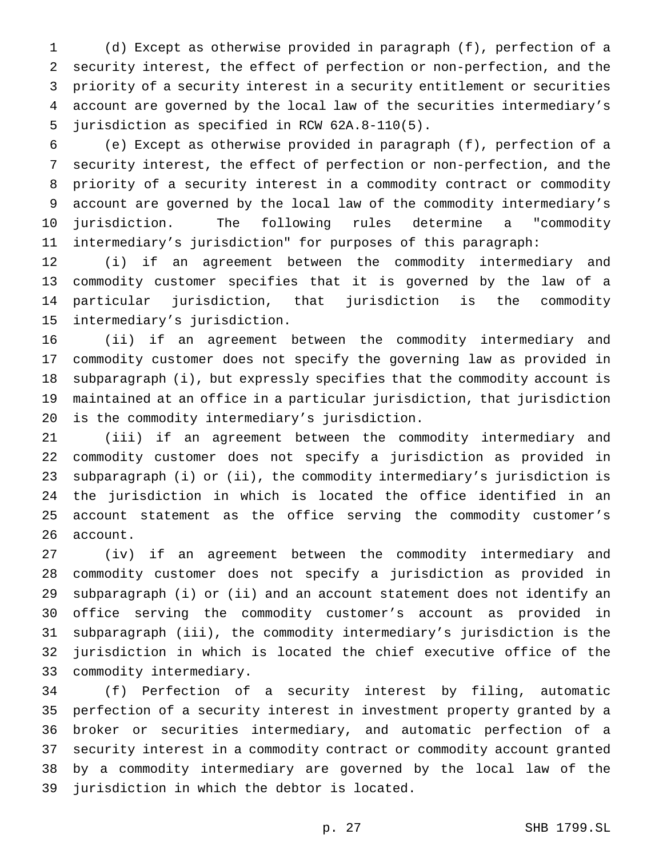(d) Except as otherwise provided in paragraph (f), perfection of a security interest, the effect of perfection or non-perfection, and the priority of a security interest in a security entitlement or securities account are governed by the local law of the securities intermediary's jurisdiction as specified in RCW 62A.8-110(5).

 (e) Except as otherwise provided in paragraph (f), perfection of a security interest, the effect of perfection or non-perfection, and the priority of a security interest in a commodity contract or commodity account are governed by the local law of the commodity intermediary's jurisdiction. The following rules determine a "commodity intermediary's jurisdiction" for purposes of this paragraph:

 (i) if an agreement between the commodity intermediary and commodity customer specifies that it is governed by the law of a particular jurisdiction, that jurisdiction is the commodity intermediary's jurisdiction.

 (ii) if an agreement between the commodity intermediary and commodity customer does not specify the governing law as provided in subparagraph (i), but expressly specifies that the commodity account is maintained at an office in a particular jurisdiction, that jurisdiction is the commodity intermediary's jurisdiction.

 (iii) if an agreement between the commodity intermediary and commodity customer does not specify a jurisdiction as provided in subparagraph (i) or (ii), the commodity intermediary's jurisdiction is the jurisdiction in which is located the office identified in an account statement as the office serving the commodity customer's account.

 (iv) if an agreement between the commodity intermediary and commodity customer does not specify a jurisdiction as provided in subparagraph (i) or (ii) and an account statement does not identify an office serving the commodity customer's account as provided in subparagraph (iii), the commodity intermediary's jurisdiction is the jurisdiction in which is located the chief executive office of the commodity intermediary.

 (f) Perfection of a security interest by filing, automatic perfection of a security interest in investment property granted by a broker or securities intermediary, and automatic perfection of a security interest in a commodity contract or commodity account granted by a commodity intermediary are governed by the local law of the jurisdiction in which the debtor is located.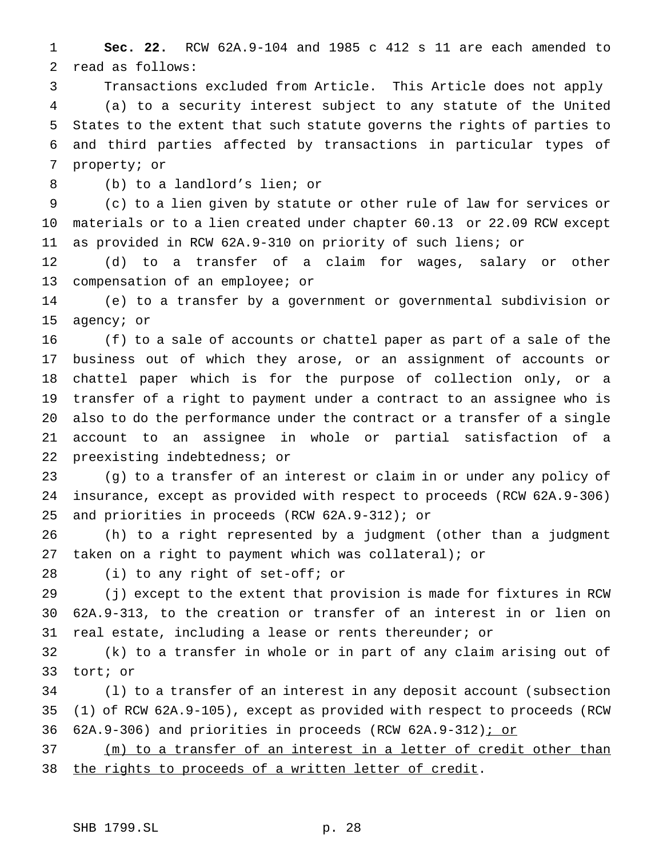**Sec. 22.** RCW 62A.9-104 and 1985 c 412 s 11 are each amended to read as follows:

 Transactions excluded from Article. This Article does not apply (a) to a security interest subject to any statute of the United States to the extent that such statute governs the rights of parties to and third parties affected by transactions in particular types of property; or

(b) to a landlord's lien; or

 (c) to a lien given by statute or other rule of law for services or materials or to a lien created under chapter 60.13 or 22.09 RCW except as provided in RCW 62A.9-310 on priority of such liens; or

 (d) to a transfer of a claim for wages, salary or other compensation of an employee; or

 (e) to a transfer by a government or governmental subdivision or agency; or

 (f) to a sale of accounts or chattel paper as part of a sale of the business out of which they arose, or an assignment of accounts or chattel paper which is for the purpose of collection only, or a transfer of a right to payment under a contract to an assignee who is also to do the performance under the contract or a transfer of a single account to an assignee in whole or partial satisfaction of a preexisting indebtedness; or

 (g) to a transfer of an interest or claim in or under any policy of insurance, except as provided with respect to proceeds (RCW 62A.9-306) and priorities in proceeds (RCW 62A.9-312); or

 (h) to a right represented by a judgment (other than a judgment taken on a right to payment which was collateral); or

(i) to any right of set-off; or

 (j) except to the extent that provision is made for fixtures in RCW 62A.9-313, to the creation or transfer of an interest in or lien on real estate, including a lease or rents thereunder; or

 (k) to a transfer in whole or in part of any claim arising out of tort; or

 (l) to a transfer of an interest in any deposit account (subsection (1) of RCW 62A.9-105), except as provided with respect to proceeds (RCW 62A.9-306) and priorities in proceeds (RCW 62A.9-312); or

37 (m) to a transfer of an interest in a letter of credit other than 38 the rights to proceeds of a written letter of credit.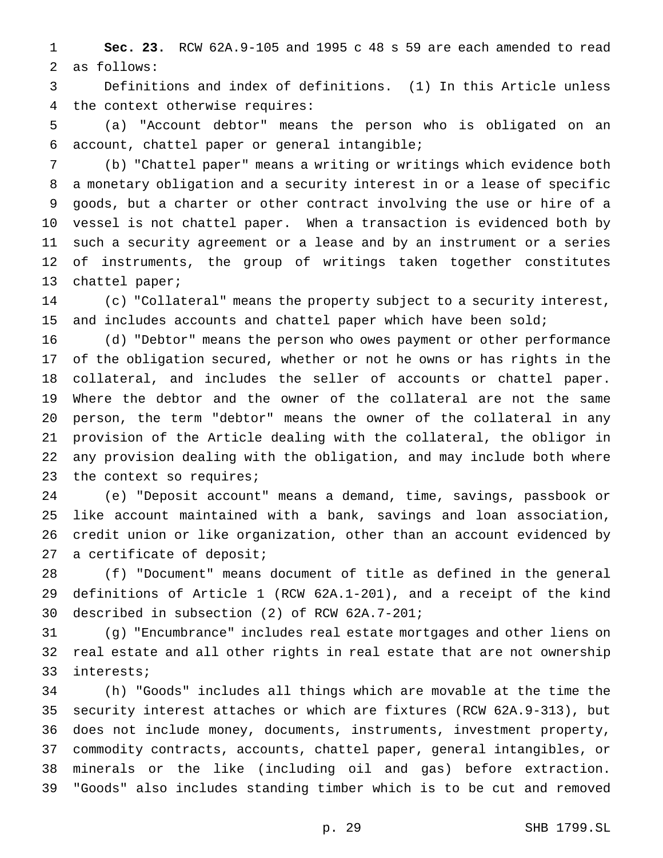**Sec. 23.** RCW 62A.9-105 and 1995 c 48 s 59 are each amended to read as follows:

 Definitions and index of definitions. (1) In this Article unless the context otherwise requires:

 (a) "Account debtor" means the person who is obligated on an account, chattel paper or general intangible;

 (b) "Chattel paper" means a writing or writings which evidence both a monetary obligation and a security interest in or a lease of specific goods, but a charter or other contract involving the use or hire of a vessel is not chattel paper. When a transaction is evidenced both by such a security agreement or a lease and by an instrument or a series of instruments, the group of writings taken together constitutes chattel paper;

 (c) "Collateral" means the property subject to a security interest, and includes accounts and chattel paper which have been sold;

 (d) "Debtor" means the person who owes payment or other performance of the obligation secured, whether or not he owns or has rights in the collateral, and includes the seller of accounts or chattel paper. Where the debtor and the owner of the collateral are not the same person, the term "debtor" means the owner of the collateral in any provision of the Article dealing with the collateral, the obligor in any provision dealing with the obligation, and may include both where 23 the context so requires;

 (e) "Deposit account" means a demand, time, savings, passbook or like account maintained with a bank, savings and loan association, credit union or like organization, other than an account evidenced by 27 a certificate of deposit;

 (f) "Document" means document of title as defined in the general definitions of Article 1 (RCW 62A.1-201), and a receipt of the kind described in subsection (2) of RCW 62A.7-201;

 (g) "Encumbrance" includes real estate mortgages and other liens on real estate and all other rights in real estate that are not ownership interests;

 (h) "Goods" includes all things which are movable at the time the security interest attaches or which are fixtures (RCW 62A.9-313), but does not include money, documents, instruments, investment property, commodity contracts, accounts, chattel paper, general intangibles, or minerals or the like (including oil and gas) before extraction. "Goods" also includes standing timber which is to be cut and removed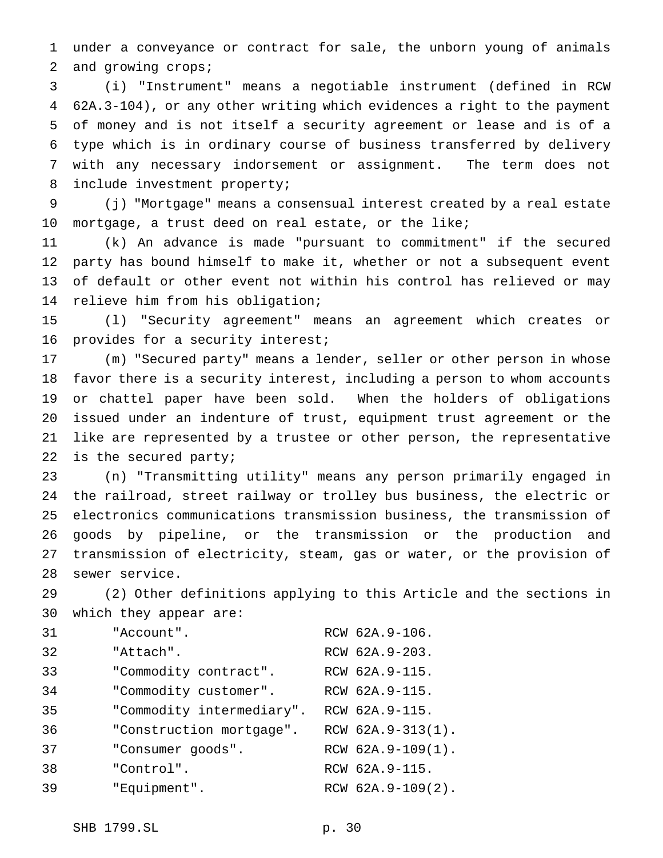under a conveyance or contract for sale, the unborn young of animals and growing crops;

 (i) "Instrument" means a negotiable instrument (defined in RCW 62A.3-104), or any other writing which evidences a right to the payment of money and is not itself a security agreement or lease and is of a type which is in ordinary course of business transferred by delivery with any necessary indorsement or assignment. The term does not 8 include investment property;

 (j) "Mortgage" means a consensual interest created by a real estate mortgage, a trust deed on real estate, or the like;

 (k) An advance is made "pursuant to commitment" if the secured party has bound himself to make it, whether or not a subsequent event of default or other event not within his control has relieved or may relieve him from his obligation;

 (l) "Security agreement" means an agreement which creates or provides for a security interest;

 (m) "Secured party" means a lender, seller or other person in whose favor there is a security interest, including a person to whom accounts or chattel paper have been sold. When the holders of obligations issued under an indenture of trust, equipment trust agreement or the like are represented by a trustee or other person, the representative is the secured party;

 (n) "Transmitting utility" means any person primarily engaged in the railroad, street railway or trolley bus business, the electric or electronics communications transmission business, the transmission of goods by pipeline, or the transmission or the production and transmission of electricity, steam, gas or water, or the provision of sewer service.

 (2) Other definitions applying to this Article and the sections in which they appear are:

| 31 | "Account".                | RCW 62A.9-106.       |
|----|---------------------------|----------------------|
| 32 | "Attach".                 | RCW 62A.9-203.       |
| 33 | "Commodity contract".     | RCW 62A.9-115.       |
| 34 | "Commodity customer".     | RCW 62A.9-115.       |
| 35 | "Commodity intermediary". | RCW 62A.9-115.       |
| 36 | "Construction mortgage".  | RCW $62A.9-313(1)$ . |
| 37 | "Consumer goods".         | $RCW 62A.9-109(1)$ . |
| 38 | "Control".                | RCW 62A.9-115.       |
| 39 | "Equipment".              | RCW $62A.9-109(2)$ . |
|    |                           |                      |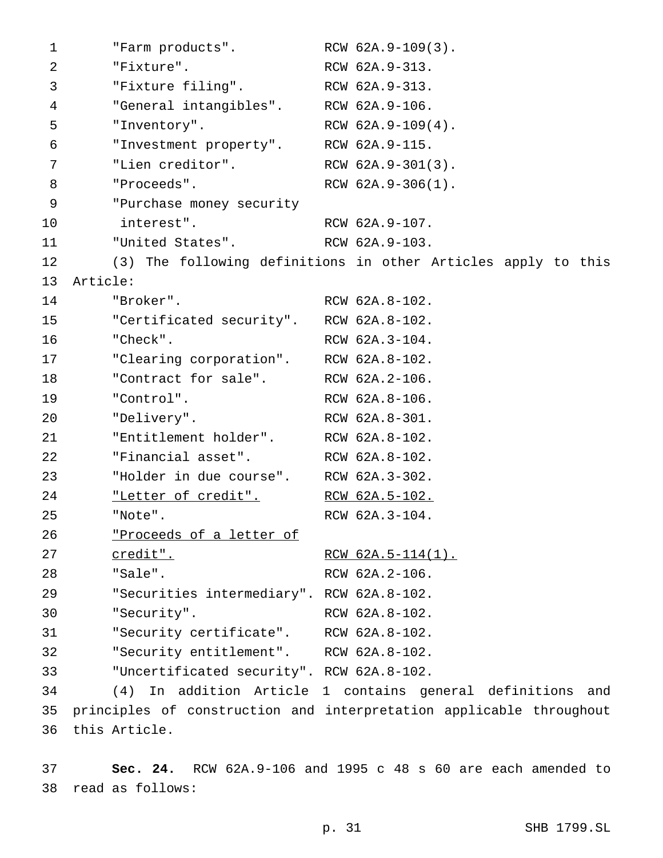"Farm products". RCW 62A.9-109(3). "Fixture". RCW 62A.9-313. "Fixture filing". RCW 62A.9-313. "General intangibles". RCW 62A.9-106. "Inventory". RCW 62A.9-109(4). "Investment property". RCW 62A.9-115. "Lien creditor". RCW 62A.9-301(3). 8 "Proceeds". RCW 62A.9-306(1). "Purchase money security interest". RCW 62A.9-107. "United States". RCW 62A.9-103. (3) The following definitions in other Articles apply to this Article: 14 "Broker". RCW 62A.8-102. "Certificated security". RCW 62A.8-102. 16 "Check". RCW 62A.3-104. "Clearing corporation". RCW 62A.8-102. 18 "Contract for sale". RCW 62A.2-106. "Control". RCW 62A.8-106. "Delivery". RCW 62A.8-301. "Entitlement holder". RCW 62A.8-102. "Financial asset". RCW 62A.8-102. "Holder in due course". RCW 62A.3-302. 24 "Letter of credit". RCW 62A.5-102. "Note". RCW 62A.3-104. "Proceeds of a letter of 27 credit". RCW 62A.5-114(1). 28 "Sale". RCW 62A.2-106. "Securities intermediary". RCW 62A.8-102. "Security". RCW 62A.8-102. "Security certificate". RCW 62A.8-102. "Security entitlement". RCW 62A.8-102. "Uncertificated security". RCW 62A.8-102. (4) In addition Article 1 contains general definitions and principles of construction and interpretation applicable throughout this Article.

 **Sec. 24.** RCW 62A.9-106 and 1995 c 48 s 60 are each amended to read as follows: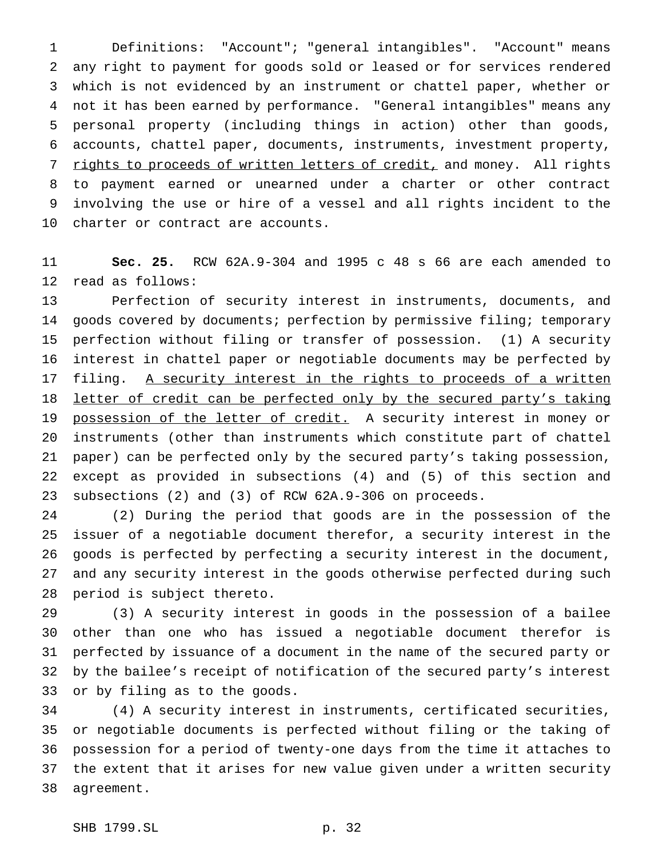Definitions: "Account"; "general intangibles". "Account" means any right to payment for goods sold or leased or for services rendered which is not evidenced by an instrument or chattel paper, whether or not it has been earned by performance. "General intangibles" means any personal property (including things in action) other than goods, accounts, chattel paper, documents, instruments, investment property, 7 rights to proceeds of written letters of credit, and money. All rights to payment earned or unearned under a charter or other contract involving the use or hire of a vessel and all rights incident to the charter or contract are accounts.

 **Sec. 25.** RCW 62A.9-304 and 1995 c 48 s 66 are each amended to read as follows:

 Perfection of security interest in instruments, documents, and goods covered by documents; perfection by permissive filing; temporary perfection without filing or transfer of possession. (1) A security interest in chattel paper or negotiable documents may be perfected by 17 filing. A security interest in the rights to proceeds of a written 18 letter of credit can be perfected only by the secured party's taking possession of the letter of credit. A security interest in money or instruments (other than instruments which constitute part of chattel paper) can be perfected only by the secured party's taking possession, except as provided in subsections (4) and (5) of this section and subsections (2) and (3) of RCW 62A.9-306 on proceeds.

 (2) During the period that goods are in the possession of the issuer of a negotiable document therefor, a security interest in the goods is perfected by perfecting a security interest in the document, and any security interest in the goods otherwise perfected during such period is subject thereto.

 (3) A security interest in goods in the possession of a bailee other than one who has issued a negotiable document therefor is perfected by issuance of a document in the name of the secured party or by the bailee's receipt of notification of the secured party's interest or by filing as to the goods.

 (4) A security interest in instruments, certificated securities, or negotiable documents is perfected without filing or the taking of possession for a period of twenty-one days from the time it attaches to the extent that it arises for new value given under a written security agreement.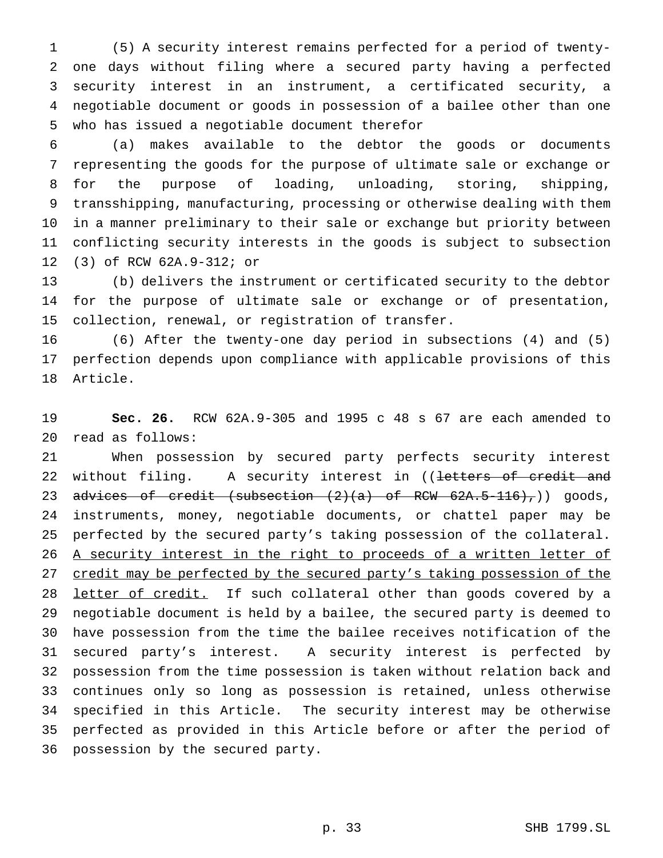(5) A security interest remains perfected for a period of twenty- one days without filing where a secured party having a perfected security interest in an instrument, a certificated security, a negotiable document or goods in possession of a bailee other than one who has issued a negotiable document therefor

 (a) makes available to the debtor the goods or documents representing the goods for the purpose of ultimate sale or exchange or for the purpose of loading, unloading, storing, shipping, transshipping, manufacturing, processing or otherwise dealing with them in a manner preliminary to their sale or exchange but priority between conflicting security interests in the goods is subject to subsection (3) of RCW 62A.9-312; or

 (b) delivers the instrument or certificated security to the debtor for the purpose of ultimate sale or exchange or of presentation, collection, renewal, or registration of transfer.

 (6) After the twenty-one day period in subsections (4) and (5) perfection depends upon compliance with applicable provisions of this Article.

 **Sec. 26.** RCW 62A.9-305 and 1995 c 48 s 67 are each amended to read as follows:

 When possession by secured party perfects security interest 22 without filing. A security interest in ((letters of credit and 23 advices of credit (subsection  $(2)(a)$  of RCW  $62A.5-116$ ), goods, instruments, money, negotiable documents, or chattel paper may be perfected by the secured party's taking possession of the collateral. 26 A security interest in the right to proceeds of a written letter of 27 credit may be perfected by the secured party's taking possession of the 28 letter of credit. If such collateral other than goods covered by a negotiable document is held by a bailee, the secured party is deemed to have possession from the time the bailee receives notification of the secured party's interest. A security interest is perfected by possession from the time possession is taken without relation back and continues only so long as possession is retained, unless otherwise specified in this Article. The security interest may be otherwise perfected as provided in this Article before or after the period of possession by the secured party.